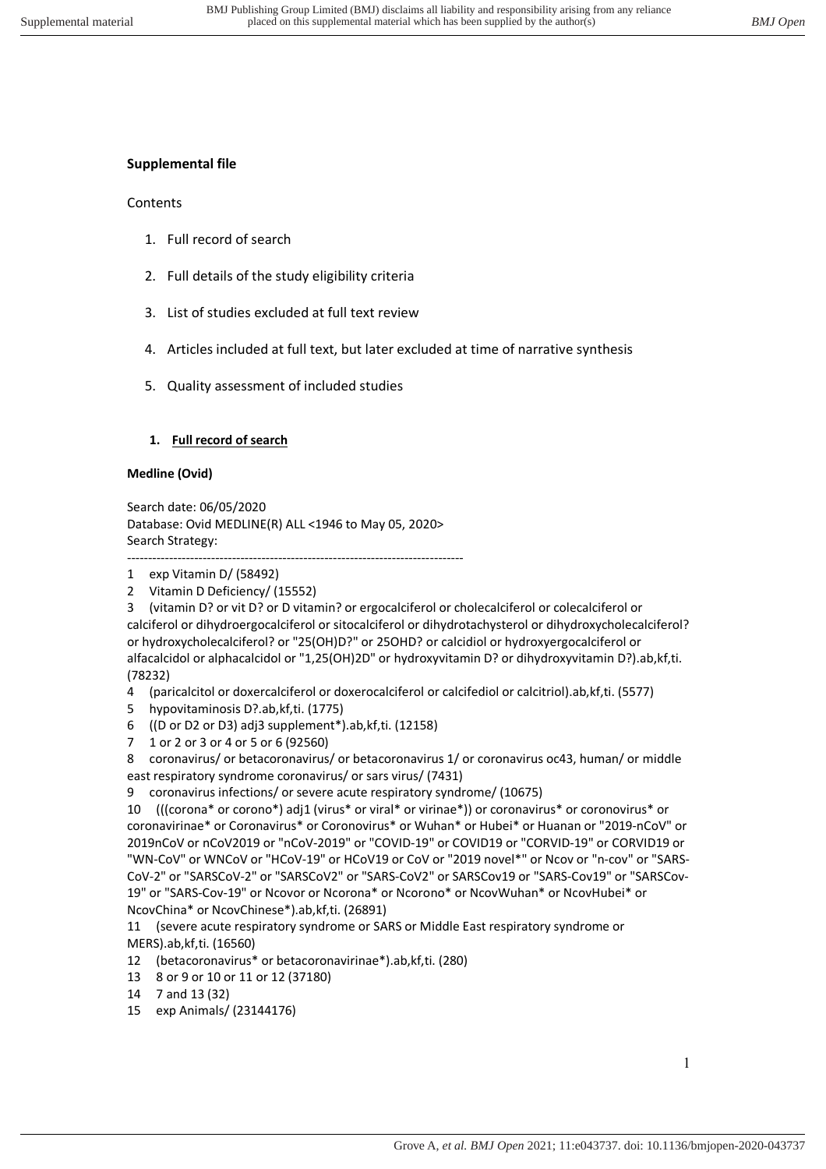### **Supplemental file**

#### Contents

- 1. Full record of search
- 2. Full details of the study eligibility criteria
- 3. List of studies excluded at full text review
- 4. Articles included at full text, but later excluded at time of narrative synthesis
- 5. Quality assessment of included studies

### **1. Full record of search**

#### **Medline (Ovid)**

Search date: 06/05/2020 Database: Ovid MEDLINE(R) ALL <1946 to May 05, 2020> Search Strategy: --------------------------------------------------------------------------------

2 Vitamin D Deficiency/ (15552)

3 (vitamin D? or vit D? or D vitamin? or ergocalciferol or cholecalciferol or colecalciferol or calciferol or dihydroergocalciferol or sitocalciferol or dihydrotachysterol or dihydroxycholecalciferol? or hydroxycholecalciferol? or "25(OH)D?" or 25OHD? or calcidiol or hydroxyergocalciferol or alfacalcidol or alphacalcidol or "1,25(OH)2D" or hydroxyvitamin D? or dihydroxyvitamin D?).ab,kf,ti. (78232)

4 (paricalcitol or doxercalciferol or doxerocalciferol or calcifediol or calcitriol).ab,kf,ti. (5577)

- 5 hypovitaminosis D?.ab,kf,ti. (1775)
- 6 ((D or D2 or D3) adj3 supplement\*).ab,kf,ti. (12158)
- 7 1 or 2 or 3 or 4 or 5 or 6 (92560)

8 coronavirus/ or betacoronavirus/ or betacoronavirus 1/ or coronavirus oc43, human/ or middle east respiratory syndrome coronavirus/ or sars virus/ (7431)

9 coronavirus infections/ or severe acute respiratory syndrome/ (10675)

10 (((corona\* or corono\*) adj1 (virus\* or viral\* or virinae\*)) or coronavirus\* or coronovirus\* or coronavirinae\* or Coronavirus\* or Coronovirus\* or Wuhan\* or Hubei\* or Huanan or "2019-nCoV" or 2019nCoV or nCoV2019 or "nCoV-2019" or "COVID-19" or COVID19 or "CORVID-19" or CORVID19 or "WN-CoV" or WNCoV or "HCoV-19" or HCoV19 or CoV or "2019 novel\*" or Ncov or "n-cov" or "SARS-CoV-2" or "SARSCoV-2" or "SARSCoV2" or "SARS-CoV2" or SARSCov19 or "SARS-Cov19" or "SARSCov-19" or "SARS-Cov-19" or Ncovor or Ncorona\* or Ncorono\* or NcovWuhan\* or NcovHubei\* or NcovChina\* or NcovChinese\*).ab,kf,ti. (26891)

11 (severe acute respiratory syndrome or SARS or Middle East respiratory syndrome or MERS).ab,kf,ti. (16560)

- 12 (betacoronavirus\* or betacoronavirinae\*).ab,kf,ti. (280)
- 13 8 or 9 or 10 or 11 or 12 (37180)
- 14 7 and 13 (32)
- 15 exp Animals/ (23144176)

<sup>1</sup> exp Vitamin D/ (58492)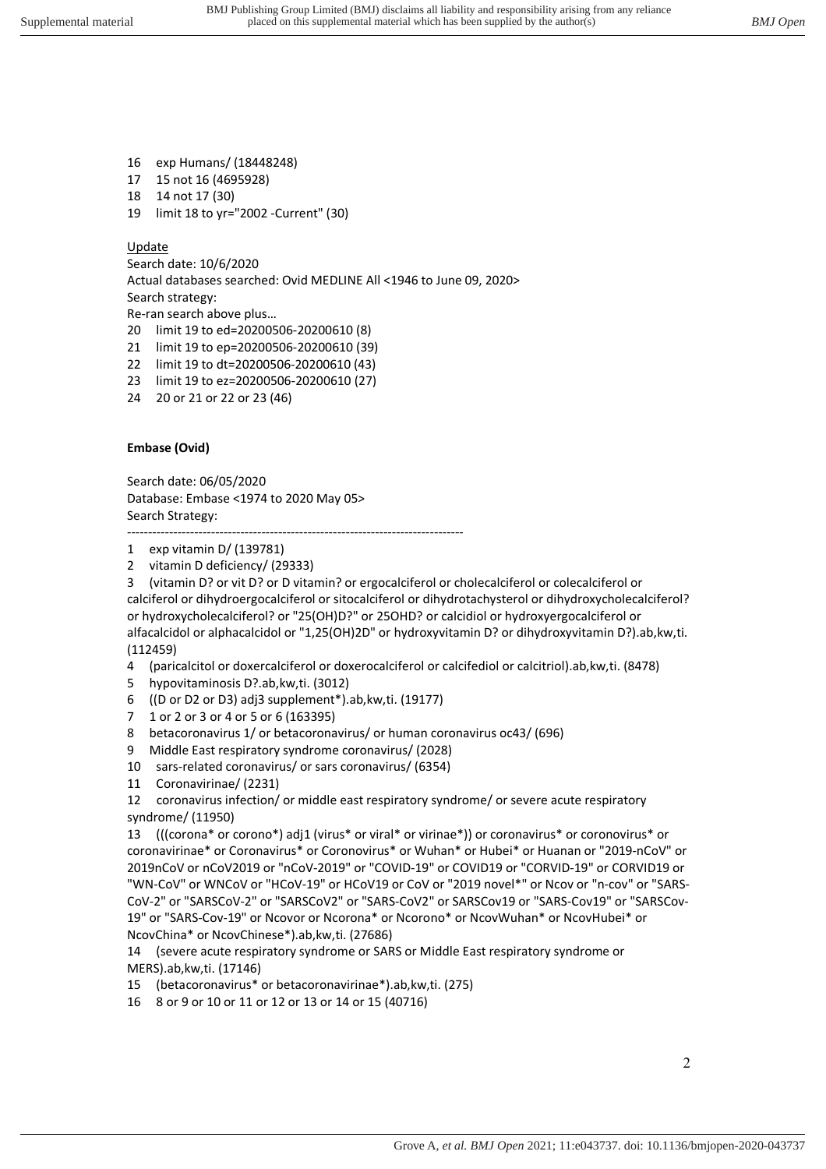- 16 exp Humans/ (18448248)
- 17 15 not 16 (4695928)
- 18 14 not 17 (30)
- 19 limit 18 to yr="2002 -Current" (30)

## **Update**

Search date: 10/6/2020 Actual databases searched: Ovid MEDLINE All <1946 to June 09, 2020> Search strategy: Re-ran search above plus…

- 20 limit 19 to ed=20200506-20200610 (8)
- 21 limit 19 to ep=20200506-20200610 (39)
- 22 limit 19 to dt=20200506-20200610 (43)
- 23 limit 19 to ez=20200506-20200610 (27)
- 24 20 or 21 or 22 or 23 (46)

# **Embase (Ovid)**

Search date: 06/05/2020 Database: Embase <1974 to 2020 May 05> Search Strategy:

-------------------------------------------------------------------------------- 1 exp vitamin D/ (139781)

2 vitamin D deficiency/ (29333)

3 (vitamin D? or vit D? or D vitamin? or ergocalciferol or cholecalciferol or colecalciferol or calciferol or dihydroergocalciferol or sitocalciferol or dihydrotachysterol or dihydroxycholecalciferol? or hydroxycholecalciferol? or "25(OH)D?" or 25OHD? or calcidiol or hydroxyergocalciferol or alfacalcidol or alphacalcidol or "1,25(OH)2D" or hydroxyvitamin D? or dihydroxyvitamin D?).ab,kw,ti. (112459)

- 4 (paricalcitol or doxercalciferol or doxerocalciferol or calcifediol or calcitriol).ab,kw,ti. (8478)
- 5 hypovitaminosis D?.ab,kw,ti. (3012)
- 6 ((D or D2 or D3) adj3 supplement\*).ab,kw,ti. (19177)
- 7 1 or 2 or 3 or 4 or 5 or 6 (163395)
- 8 betacoronavirus 1/ or betacoronavirus/ or human coronavirus oc43/ (696)
- 9 Middle East respiratory syndrome coronavirus/ (2028)
- 10 sars-related coronavirus/ or sars coronavirus/ (6354)
- 11 Coronavirinae/ (2231)

12 coronavirus infection/ or middle east respiratory syndrome/ or severe acute respiratory syndrome/ (11950)

13 (((corona\* or corono\*) adj1 (virus\* or viral\* or virinae\*)) or coronavirus\* or coronovirus\* or coronavirinae\* or Coronavirus\* or Coronovirus\* or Wuhan\* or Hubei\* or Huanan or "2019-nCoV" or 2019nCoV or nCoV2019 or "nCoV-2019" or "COVID-19" or COVID19 or "CORVID-19" or CORVID19 or "WN-CoV" or WNCoV or "HCoV-19" or HCoV19 or CoV or "2019 novel\*" or Ncov or "n-cov" or "SARS-CoV-2" or "SARSCoV-2" or "SARSCoV2" or "SARS-CoV2" or SARSCov19 or "SARS-Cov19" or "SARSCov-19" or "SARS-Cov-19" or Ncovor or Ncorona\* or Ncorono\* or NcovWuhan\* or NcovHubei\* or NcovChina\* or NcovChinese\*).ab,kw,ti. (27686)

14 (severe acute respiratory syndrome or SARS or Middle East respiratory syndrome or MERS).ab,kw,ti. (17146)

- 15 (betacoronavirus\* or betacoronavirinae\*).ab,kw,ti. (275)
- 16 8 or 9 or 10 or 11 or 12 or 13 or 14 or 15 (40716)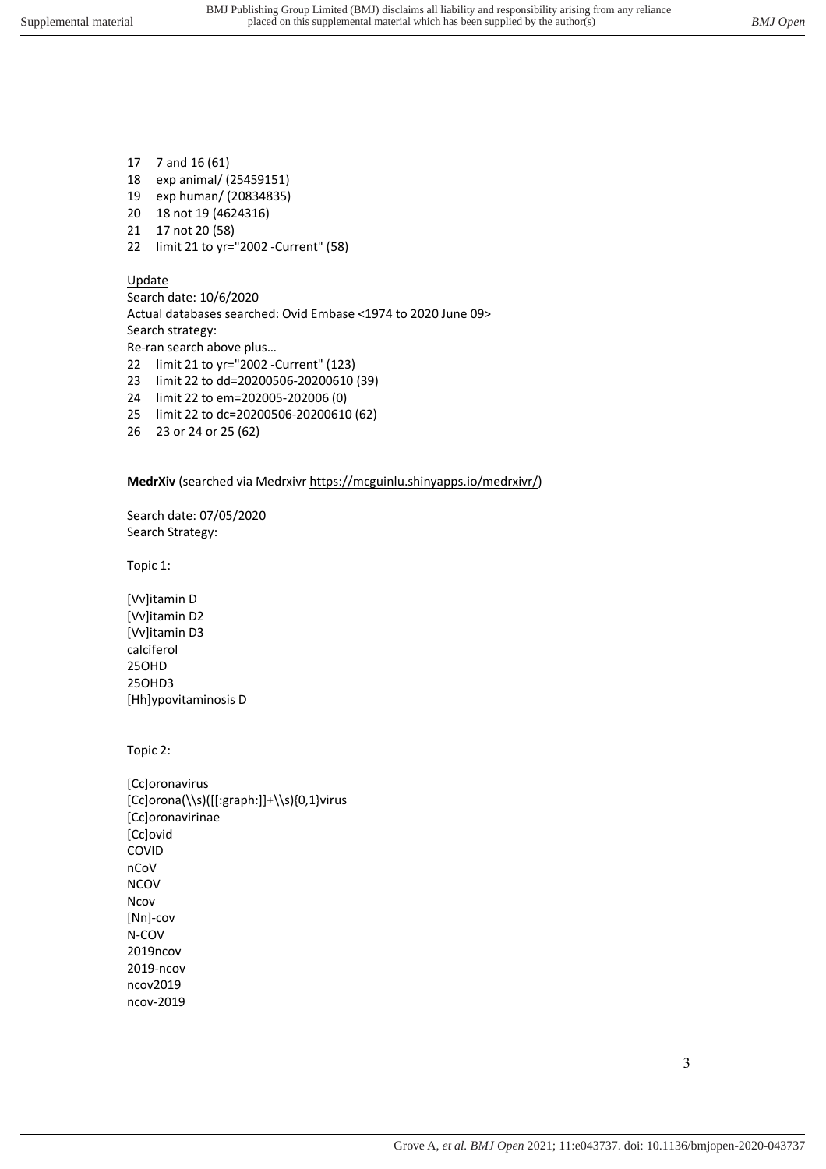- 17 7 and 16 (61)
- 18 exp animal/ (25459151)
- 19 exp human/ (20834835)
- 20 18 not 19 (4624316)
- 21 17 not 20 (58)
- 22 limit 21 to yr="2002 -Current" (58)

#### Update

Search date: 10/6/2020 Actual databases searched: Ovid Embase <1974 to 2020 June 09> Search strategy: Re-ran search above plus… 22 limit 21 to yr="2002 -Current" (123)

- 23 limit 22 to dd=20200506-20200610 (39)
- 24 limit 22 to em=202005-202006 (0)
- 25 limit 22 to dc=20200506-20200610 (62)
- 26 23 or 24 or 25 (62)

**MedrXiv** (searched via Medrxivr https://mcguinlu.shinyapps.io/medrxivr/)

Search date: 07/05/2020 Search Strategy:

Topic 1:

[Vv]itamin D [Vv]itamin D2 [Vv]itamin D3 calciferol 25OHD 25OHD3 [Hh]ypovitaminosis D

Topic 2:

**[Cc]oronavirus** [Cc]orona(\\s)([[:graph:]]+\\s){0,1}virus [Cc]oronavirinae [Cc]ovid COVID nCoV NCOV Ncov [Nn]-cov N-COV 2019ncov 2019-ncov ncov2019 ncov-2019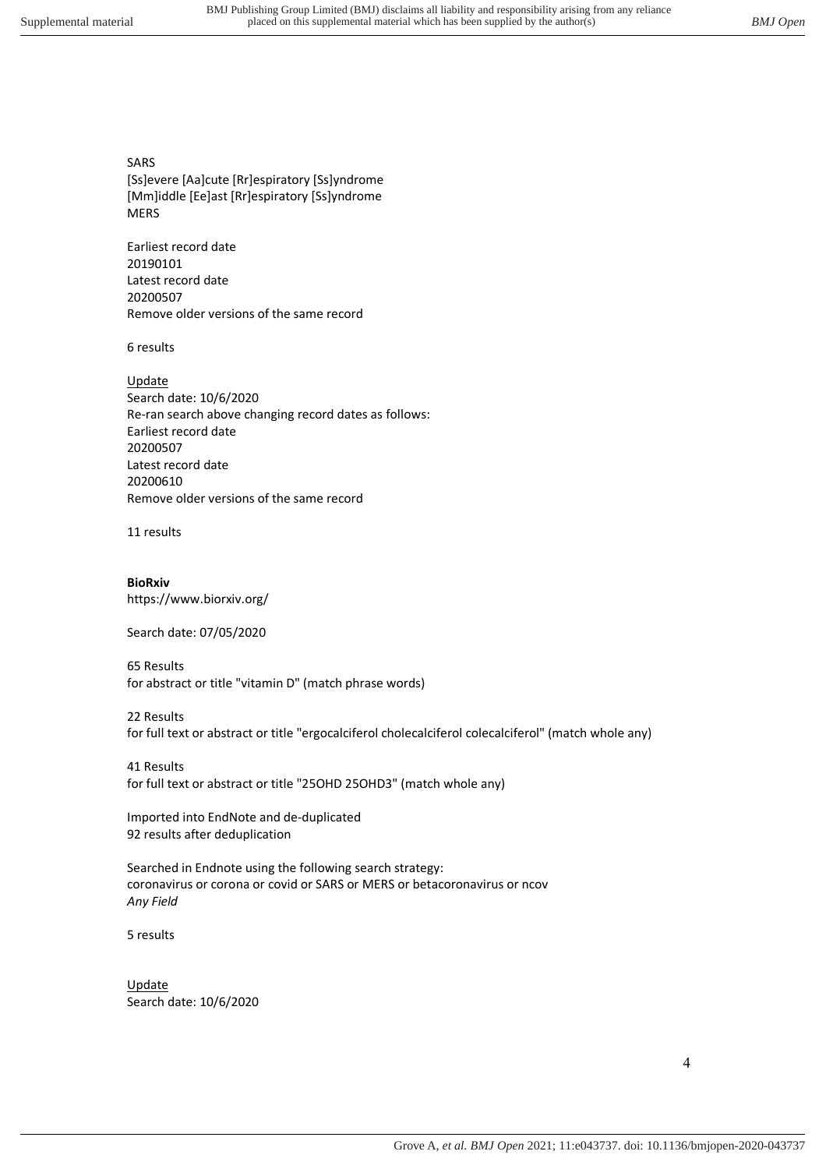SARS

[Ss]evere [Aa]cute [Rr]espiratory [Ss]yndrome [Mm]iddle [Ee]ast [Rr]espiratory [Ss]yndrome MERS

Earliest record date 20190101 Latest record date 20200507 Remove older versions of the same record

6 results

Update Search date: 10/6/2020 Re-ran search above changing record dates as follows: Earliest record date 20200507 Latest record date 20200610 Remove older versions of the same record

11 results

**BioRxiv** https://www.biorxiv.org/

Search date: 07/05/2020

65 Results for abstract or title "vitamin D" (match phrase words)

22 Results

for full text or abstract or title "ergocalciferol cholecalciferol colecalciferol" (match whole any)

41 Results for full text or abstract or title "25OHD 25OHD3" (match whole any)

Imported into EndNote and de-duplicated 92 results after deduplication

Searched in Endnote using the following search strategy: coronavirus or corona or covid or SARS or MERS or betacoronavirus or ncov *Any Field* 

5 results

Update Search date: 10/6/2020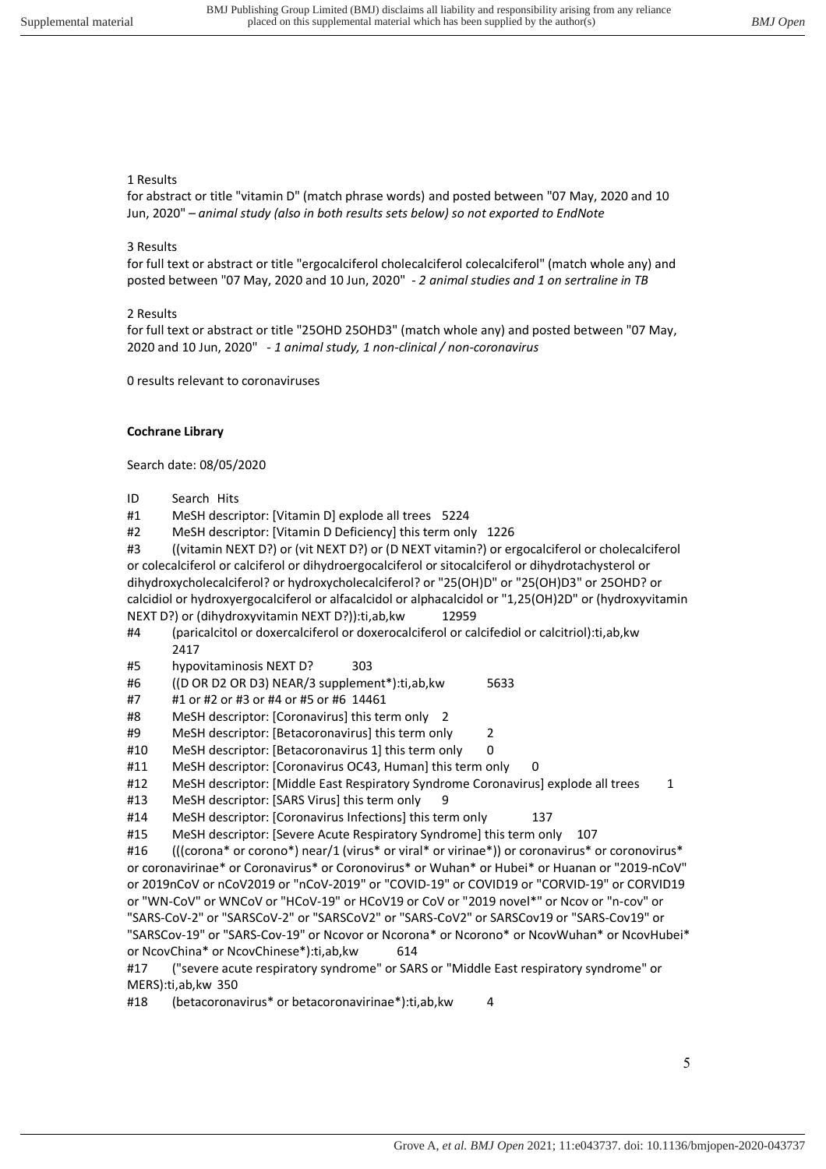#### 1 Results

for abstract or title "vitamin D" (match phrase words) and posted between "07 May, 2020 and 10 Jun, 2020" *– animal study (also in both results sets below) so not exported to EndNote*

#### 3 Results

for full text or abstract or title "ergocalciferol cholecalciferol colecalciferol" (match whole any) and posted between "07 May, 2020 and 10 Jun, 2020" - *2 animal studies and 1 on sertraline in TB*

#### 2 Results

for full text or abstract or title "25OHD 25OHD3" (match whole any) and posted between "07 May, 2020 and 10 Jun, 2020" *- 1 animal study, 1 non-clinical / non-coronavirus*

0 results relevant to coronaviruses

#### **Cochrane Library**

Search date: 08/05/2020

ID Search Hits

#1 MeSH descriptor: [Vitamin D] explode all trees 5224

#2 MeSH descriptor: [Vitamin D Deficiency] this term only 1226

#3 ((vitamin NEXT D?) or (vit NEXT D?) or (D NEXT vitamin?) or ergocalciferol or cholecalciferol or colecalciferol or calciferol or dihydroergocalciferol or sitocalciferol or dihydrotachysterol or dihydroxycholecalciferol? or hydroxycholecalciferol? or "25(OH)D" or "25(OH)D3" or 25OHD? or calcidiol or hydroxyergocalciferol or alfacalcidol or alphacalcidol or "1,25(OH)2D" or (hydroxyvitamin NEXT D?) or (dihydroxyvitamin NEXT D?)):ti,ab,kw 12959

- #4 (paricalcitol or doxercalciferol or doxerocalciferol or calcifediol or calcitriol):ti,ab,kw 2417
- #5 hypovitaminosis NEXT D? 303
- #6 ((D OR D2 OR D3) NEAR/3 supplement\*):ti,ab,kw 5633
- #7 #1 or #2 or #3 or #4 or #5 or #6 14461
- #8 MeSH descriptor: [Coronavirus] this term only 2
- #9 MeSH descriptor: [Betacoronavirus] this term only 2
- #10 MeSH descriptor: [Betacoronavirus 1] this term only 0
- #11 MeSH descriptor: [Coronavirus OC43, Human] this term only 0
- #12 MeSH descriptor: [Middle East Respiratory Syndrome Coronavirus] explode all trees 1
- #13 MeSH descriptor: [SARS Virus] this term only 9
- #14 MeSH descriptor: [Coronavirus Infections] this term only 137
- #15 MeSH descriptor: [Severe Acute Respiratory Syndrome] this term only 107

#16 (((corona\* or corono\*) near/1 (virus\* or viral\* or virinae\*)) or coronavirus\* or coronovirus\* or coronavirinae\* or Coronavirus\* or Coronovirus\* or Wuhan\* or Hubei\* or Huanan or "2019-nCoV" or 2019nCoV or nCoV2019 or "nCoV-2019" or "COVID-19" or COVID19 or "CORVID-19" or CORVID19 or "WN-CoV" or WNCoV or "HCoV-19" or HCoV19 or CoV or "2019 novel\*" or Ncov or "n-cov" or "SARS-CoV-2" or "SARSCoV-2" or "SARSCoV2" or "SARS-CoV2" or SARSCov19 or "SARS-Cov19" or "SARSCov-19" or "SARS-Cov-19" or Ncovor or Ncorona\* or Ncorono\* or NcovWuhan\* or NcovHubei\* or NcovChina\* or NcovChinese\*):ti,ab,kw 614

#17 ("severe acute respiratory syndrome" or SARS or "Middle East respiratory syndrome" or MERS):ti,ab,kw 350

#18 (betacoronavirus\* or betacoronavirinae\*):ti,ab,kw 4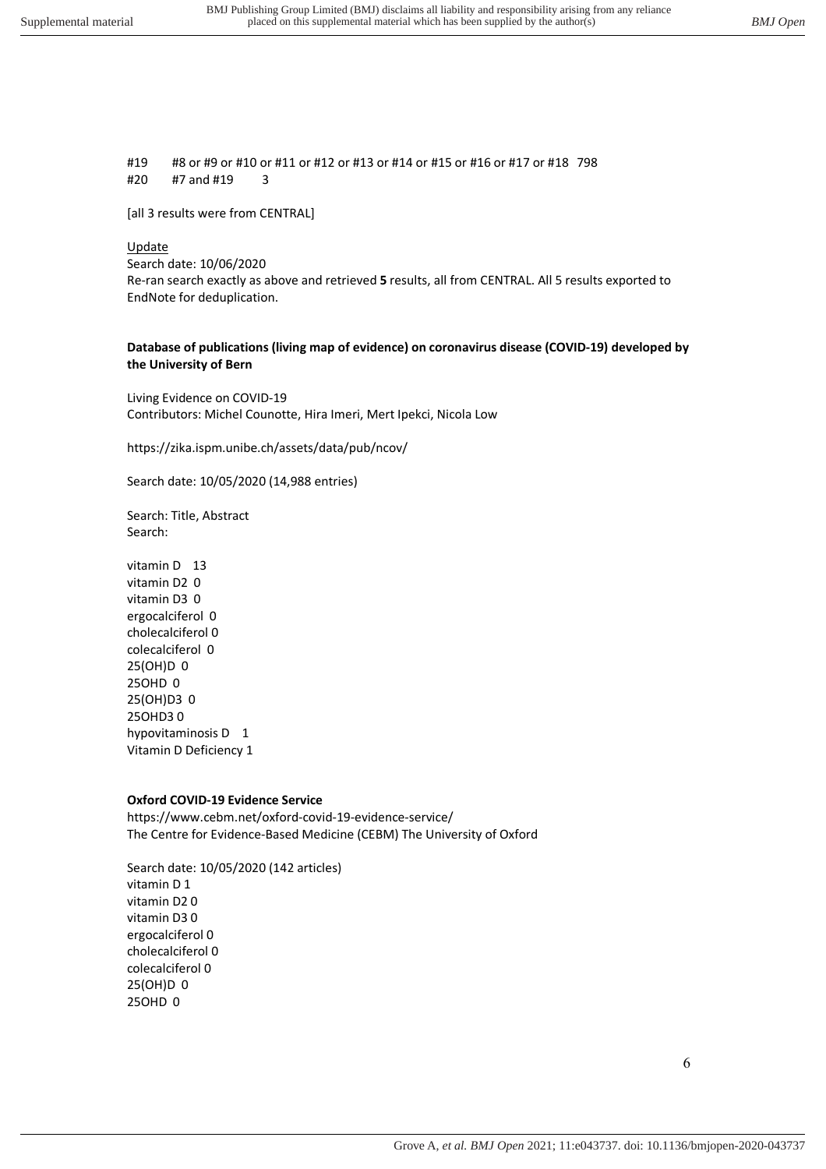#19 #8 or #9 or #10 or #11 or #12 or #13 or #14 or #15 or #16 or #17 or #18 798 #20 #7 and #19 3

[all 3 results were from CENTRAL]

### **Update**

Search date: 10/06/2020 Re-ran search exactly as above and retrieved **5** results, all from CENTRAL. All 5 results exported to EndNote for deduplication.

#### **Database of publications (living map of evidence) on coronavirus disease (COVID-19) developed by the University of Bern**

Living Evidence on COVID-19 Contributors: Michel Counotte, Hira Imeri, Mert Ipekci, Nicola Low

https://zika.ispm.unibe.ch/assets/data/pub/ncov/

Search date: 10/05/2020 (14,988 entries)

Search: Title, Abstract Search:

vitamin D 13 vitamin D2 0 vitamin D3 0 ergocalciferol 0 cholecalciferol 0 colecalciferol 0 25(OH)D 0 25OHD 0 25(OH)D3 0 25OHD3 0 hypovitaminosis D 1 Vitamin D Deficiency 1

#### **Oxford COVID-19 Evidence Service**

https://www.cebm.net/oxford-covid-19-evidence-service/ The Centre for Evidence-Based Medicine (CEBM) The University of Oxford

Search date: 10/05/2020 (142 articles) vitamin D 1 vitamin D2 0 vitamin D3 0 ergocalciferol 0 cholecalciferol 0 colecalciferol 0 25(OH)D 0 25OHD 0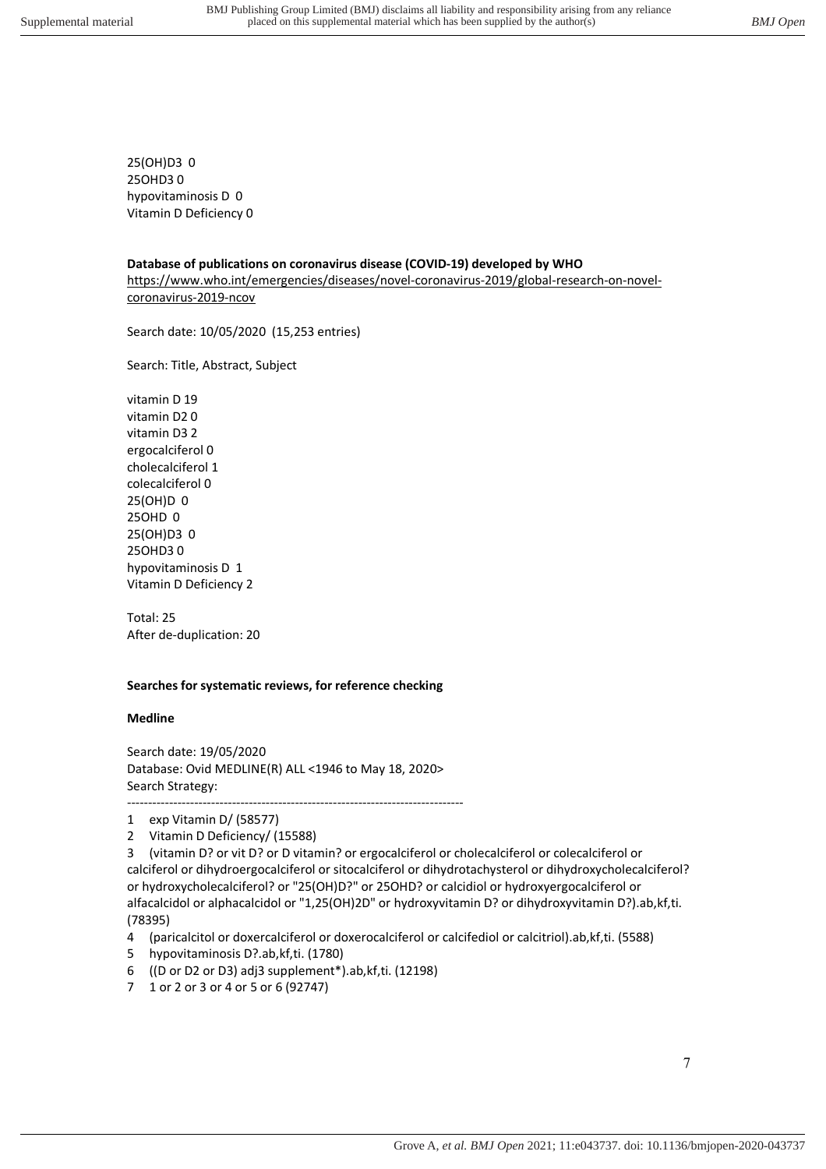25(OH)D3 0 25OHD3 0 hypovitaminosis D 0 Vitamin D Deficiency 0

**Database of publications on coronavirus disease (COVID-19) developed by WHO** https://www.who.int/emergencies/diseases/novel-coronavirus-2019/global-research-on-novelcoronavirus-2019-ncov

Search date: 10/05/2020 (15,253 entries)

Search: Title, Abstract, Subject

vitamin D 19 vitamin D2 0 vitamin D3 2 ergocalciferol 0 cholecalciferol 1 colecalciferol 0 25(OH)D 0 25OHD 0 25(OH)D3 0 25OHD3 0 hypovitaminosis D 1 Vitamin D Deficiency 2

Total: 25 After de-duplication: 20

#### **Searches for systematic reviews, for reference checking**

#### **Medline**

Search date: 19/05/2020 Database: Ovid MEDLINE(R) ALL <1946 to May 18, 2020> Search Strategy: --------------------------------------------------------------------------------

1 exp Vitamin D/ (58577)

2 Vitamin D Deficiency/ (15588)

3 (vitamin D? or vit D? or D vitamin? or ergocalciferol or cholecalciferol or colecalciferol or calciferol or dihydroergocalciferol or sitocalciferol or dihydrotachysterol or dihydroxycholecalciferol? or hydroxycholecalciferol? or "25(OH)D?" or 25OHD? or calcidiol or hydroxyergocalciferol or alfacalcidol or alphacalcidol or "1,25(OH)2D" or hydroxyvitamin D? or dihydroxyvitamin D?).ab,kf,ti. (78395)

- 4 (paricalcitol or doxercalciferol or doxerocalciferol or calcifediol or calcitriol).ab,kf,ti. (5588)
- 5 hypovitaminosis D?.ab,kf,ti. (1780)
- 6 ((D or D2 or D3) adj3 supplement\*).ab,kf,ti. (12198)
- 7 1 or 2 or 3 or 4 or 5 or 6 (92747)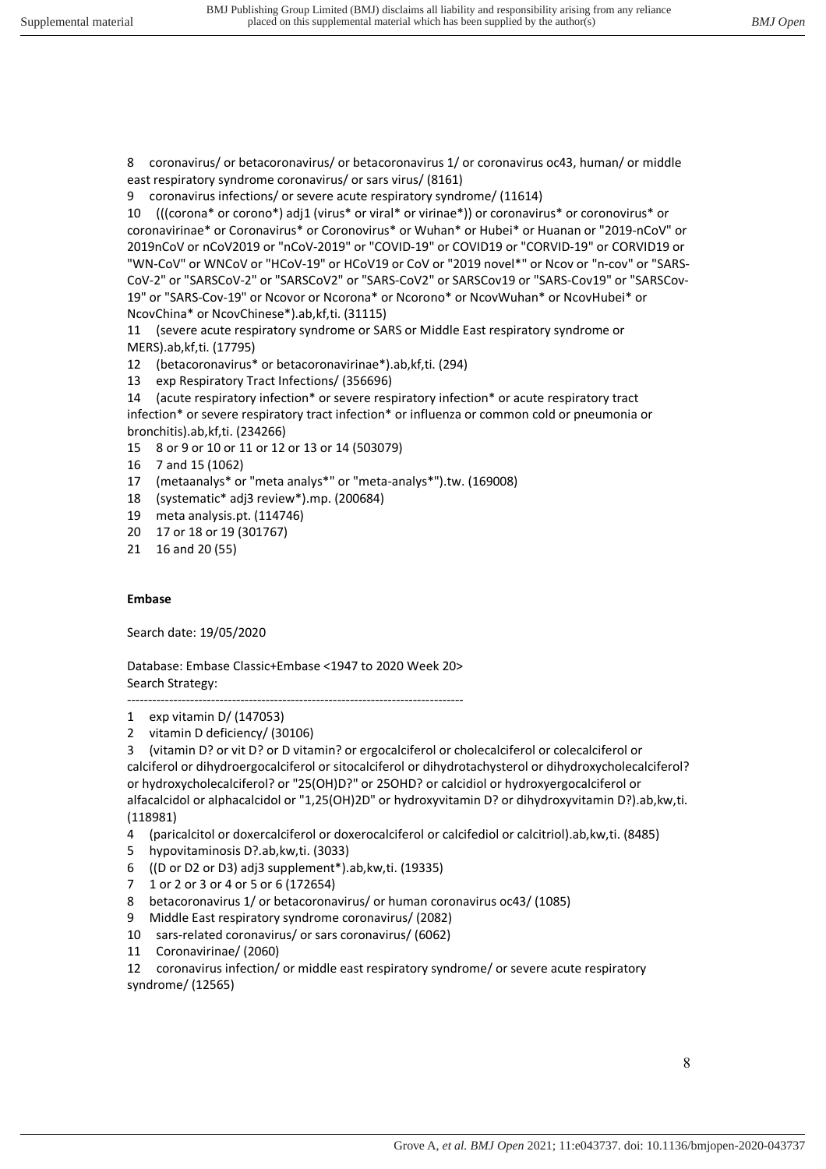8 coronavirus/ or betacoronavirus/ or betacoronavirus 1/ or coronavirus oc43, human/ or middle east respiratory syndrome coronavirus/ or sars virus/ (8161)

9 coronavirus infections/ or severe acute respiratory syndrome/ (11614)

10 (((corona\* or corono\*) adj1 (virus\* or viral\* or virinae\*)) or coronavirus\* or coronovirus\* or coronavirinae\* or Coronavirus\* or Coronovirus\* or Wuhan\* or Hubei\* or Huanan or "2019-nCoV" or 2019nCoV or nCoV2019 or "nCoV-2019" or "COVID-19" or COVID19 or "CORVID-19" or CORVID19 or "WN-CoV" or WNCoV or "HCoV-19" or HCoV19 or CoV or "2019 novel\*" or Ncov or "n-cov" or "SARS-CoV-2" or "SARSCoV-2" or "SARSCoV2" or "SARS-CoV2" or SARSCov19 or "SARS-Cov19" or "SARSCov-19" or "SARS-Cov-19" or Ncovor or Ncorona\* or Ncorono\* or NcovWuhan\* or NcovHubei\* or NcovChina\* or NcovChinese\*).ab,kf,ti. (31115)

11 (severe acute respiratory syndrome or SARS or Middle East respiratory syndrome or MERS).ab,kf,ti. (17795)

12 (betacoronavirus\* or betacoronavirinae\*).ab,kf,ti. (294)

13 exp Respiratory Tract Infections/ (356696)

14 (acute respiratory infection\* or severe respiratory infection\* or acute respiratory tract infection\* or severe respiratory tract infection\* or influenza or common cold or pneumonia or bronchitis).ab,kf,ti. (234266)

- 15 8 or 9 or 10 or 11 or 12 or 13 or 14 (503079)
- 16 7 and 15 (1062)
- 17 (metaanalys\* or "meta analys\*" or "meta-analys\*").tw. (169008)
- 18 (systematic\* adj3 review\*).mp. (200684)
- 19 meta analysis.pt. (114746)
- 20 17 or 18 or 19 (301767)
- 21 16 and 20 (55)

#### **Embase**

Search date: 19/05/2020

Database: Embase Classic+Embase <1947 to 2020 Week 20> Search Strategy: --------------------------------------------------------------------------------

1 exp vitamin D/ (147053)

2 vitamin D deficiency/ (30106)

3 (vitamin D? or vit D? or D vitamin? or ergocalciferol or cholecalciferol or colecalciferol or calciferol or dihydroergocalciferol or sitocalciferol or dihydrotachysterol or dihydroxycholecalciferol? or hydroxycholecalciferol? or "25(OH)D?" or 25OHD? or calcidiol or hydroxyergocalciferol or alfacalcidol or alphacalcidol or "1,25(OH)2D" or hydroxyvitamin D? or dihydroxyvitamin D?).ab,kw,ti. (118981)

- 4 (paricalcitol or doxercalciferol or doxerocalciferol or calcifediol or calcitriol).ab,kw,ti. (8485)
- 5 hypovitaminosis D?.ab,kw,ti. (3033)
- 6 ((D or D2 or D3) adj3 supplement\*).ab,kw,ti. (19335)
- 7 1 or 2 or 3 or 4 or 5 or 6 (172654)
- 8 betacoronavirus 1/ or betacoronavirus/ or human coronavirus oc43/ (1085)
- 9 Middle East respiratory syndrome coronavirus/ (2082)
- 10 sars-related coronavirus/ or sars coronavirus/ (6062)
- 11 Coronavirinae/ (2060)

12 coronavirus infection/ or middle east respiratory syndrome/ or severe acute respiratory syndrome/ (12565)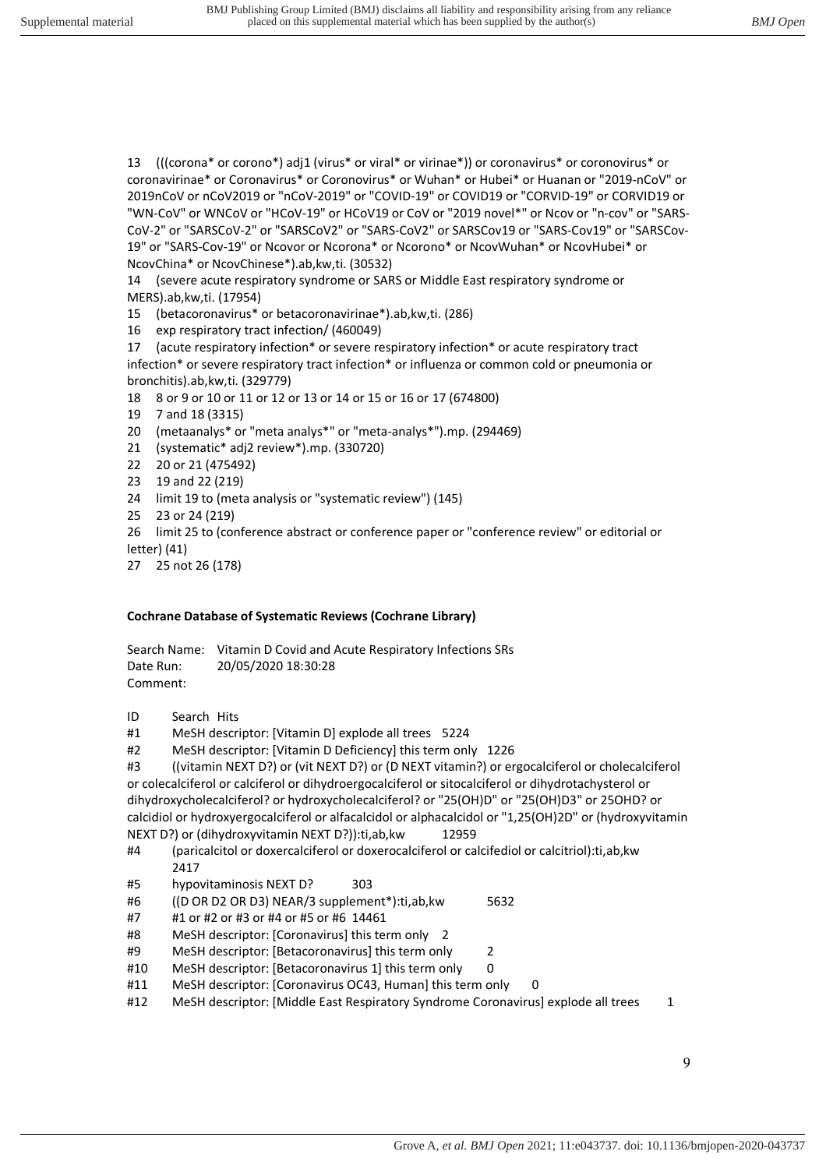13 (((corona\* or corono\*) adj1 (virus\* or viral\* or virinae\*)) or coronavirus\* or coronovirus\* or coronavirinae\* or Coronavirus\* or Coronovirus\* or Wuhan\* or Hubei\* or Huanan or "2019-nCoV" or 2019nCoV or nCoV2019 or "nCoV-2019" or "COVID-19" or COVID19 or "CORVID-19" or CORVID19 or "WN-CoV" or WNCoV or "HCoV-19" or HCoV19 or CoV or "2019 novel\*" or Ncov or "n-cov" or "SARS-CoV-2" or "SARSCoV-2" or "SARSCoV2" or "SARS-CoV2" or SARSCov19 or "SARS-Cov19" or "SARSCov-19" or "SARS-Cov-19" or Ncovor or Ncorona\* or Ncorono\* or NcovWuhan\* or NcovHubei\* or NcovChina\* or NcovChinese\*).ab,kw,ti. (30532)

14 (severe acute respiratory syndrome or SARS or Middle East respiratory syndrome or MERS).ab,kw,ti. (17954)

15 (betacoronavirus\* or betacoronavirinae\*).ab,kw,ti. (286)

16 exp respiratory tract infection/ (460049)

17 (acute respiratory infection\* or severe respiratory infection\* or acute respiratory tract infection\* or severe respiratory tract infection\* or influenza or common cold or pneumonia or bronchitis).ab,kw,ti. (329779)

18 8 or 9 or 10 or 11 or 12 or 13 or 14 or 15 or 16 or 17 (674800)

- 19 7 and 18 (3315)
- 20 (metaanalys\* or "meta analys\*" or "meta-analys\*").mp. (294469)
- 21 (systematic\* adj2 review\*).mp. (330720)
- 22 20 or 21 (475492)
- 23 19 and 22 (219)
- 24 limit 19 to (meta analysis or "systematic review") (145)
- 25 23 or 24 (219)
- 26 limit 25 to (conference abstract or conference paper or "conference review" or editorial or
- letter) (41)
- 27 25 not 26 (178)

#### **Cochrane Database of Systematic Reviews (Cochrane Library)**

Search Name: Vitamin D Covid and Acute Respiratory Infections SRs Date Run: 20/05/2020 18:30:28 Comment:

- ID Search Hits
- #1 MeSH descriptor: [Vitamin D] explode all trees 5224
- #2 MeSH descriptor: [Vitamin D Deficiency] this term only 1226

#3 ((vitamin NEXT D?) or (vit NEXT D?) or (D NEXT vitamin?) or ergocalciferol or cholecalciferol or colecalciferol or calciferol or dihydroergocalciferol or sitocalciferol or dihydrotachysterol or dihydroxycholecalciferol? or hydroxycholecalciferol? or "25(OH)D" or "25(OH)D3" or 25OHD? or calcidiol or hydroxyergocalciferol or alfacalcidol or alphacalcidol or "1,25(OH)2D" or (hydroxyvitamin NEXT D?) or (dihydroxyvitamin NEXT D?)):ti,ab,kw 12959

- #4 (paricalcitol or doxercalciferol or doxerocalciferol or calcifediol or calcitriol):ti,ab,kw 2417
- #5 hypovitaminosis NEXT D? 303
- #6 ((D OR D2 OR D3) NEAR/3 supplement\*):ti,ab,kw 5632
- #7 #1 or #2 or #3 or #4 or #5 or #6 14461
- #8 MeSH descriptor: [Coronavirus] this term only 2
- #9 MeSH descriptor: [Betacoronavirus] this term only 2
- #10 MeSH descriptor: [Betacoronavirus 1] this term only 0
- #11 MeSH descriptor: [Coronavirus OC43, Human] this term only 0
- #12 MeSH descriptor: [Middle East Respiratory Syndrome Coronavirus] explode all trees 1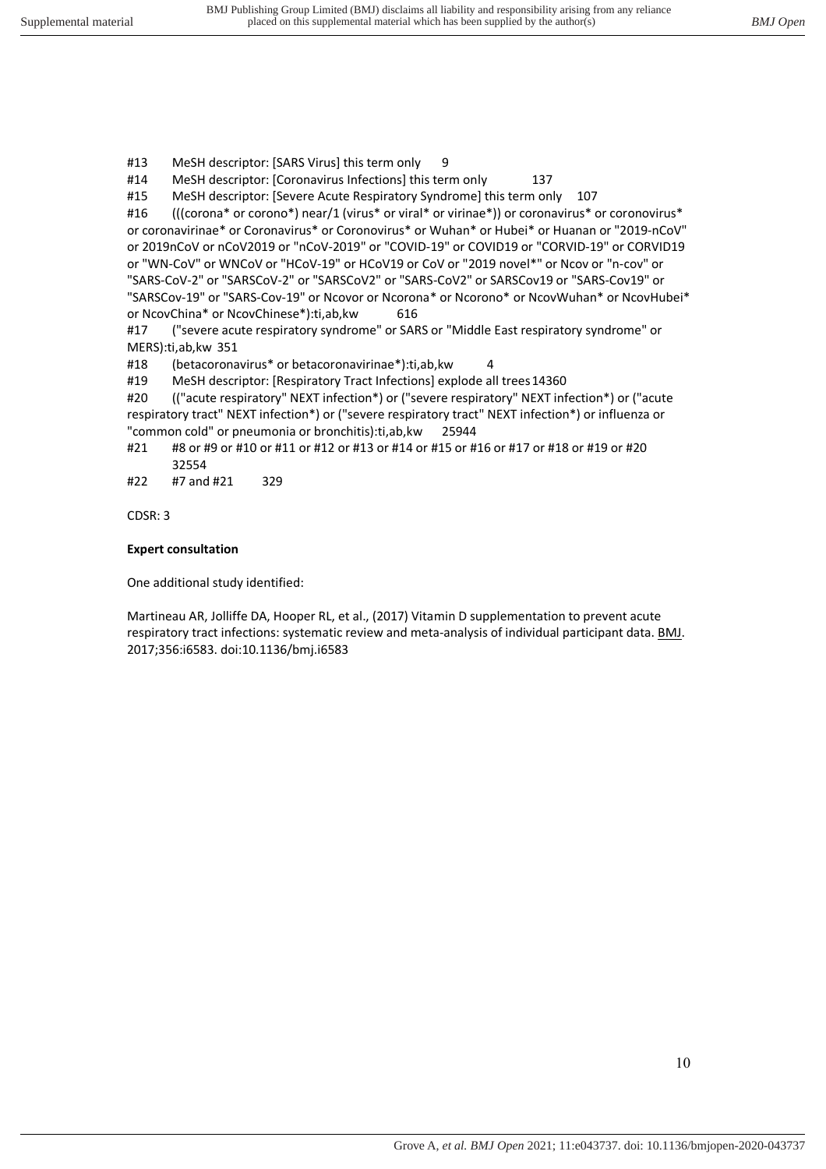#13 MeSH descriptor: [SARS Virus] this term only 9

#14 MeSH descriptor: [Coronavirus Infections] this term only 137

#15 MeSH descriptor: [Severe Acute Respiratory Syndrome] this term only 107

#16 ((corona\* or corono\*) near/1 (virus\* or viral\* or virinae\*)) or coronavirus\* or coronovirus\* or coronavirinae\* or Coronavirus\* or Coronovirus\* or Wuhan\* or Hubei\* or Huanan or "2019-nCoV" or 2019nCoV or nCoV2019 or "nCoV-2019" or "COVID-19" or COVID19 or "CORVID-19" or CORVID19 or "WN-CoV" or WNCoV or "HCoV-19" or HCoV19 or CoV or "2019 novel\*" or Ncov or "n-cov" or "SARS-CoV-2" or "SARSCoV-2" or "SARSCoV2" or "SARS-CoV2" or SARSCov19 or "SARS-Cov19" or "SARSCov-19" or "SARS-Cov-19" or Ncovor or Ncorona\* or Ncorono\* or NcovWuhan\* or NcovHubei\* or NcovChina\* or NcovChinese\*):ti,ab,kw 616

#17 ("severe acute respiratory syndrome" or SARS or "Middle East respiratory syndrome" or MERS):ti,ab,kw 351

#18 (betacoronavirus\* or betacoronavirinae\*):ti,ab,kw 4

#19 MeSH descriptor: [Respiratory Tract Infections] explode all trees 14360

#20 (("acute respiratory" NEXT infection\*) or ("severe respiratory" NEXT infection\*) or ("acute respiratory tract" NEXT infection\*) or ("severe respiratory tract" NEXT infection\*) or influenza or "common cold" or pneumonia or bronchitis):ti,ab,kw 25944

#21 #8 or #9 or #10 or #11 or #12 or #13 or #14 or #15 or #16 or #17 or #18 or #19 or #20 32554

#22 #7 and #21 329

CDSR: 3

#### **Expert consultation**

One additional study identified:

Martineau AR, Jolliffe DA, Hooper RL, et al., (2017) Vitamin D supplementation to prevent acute respiratory tract infections: systematic review and meta-analysis of individual participant data. BMJ. 2017;356:i6583. doi:10.1136/bmj.i6583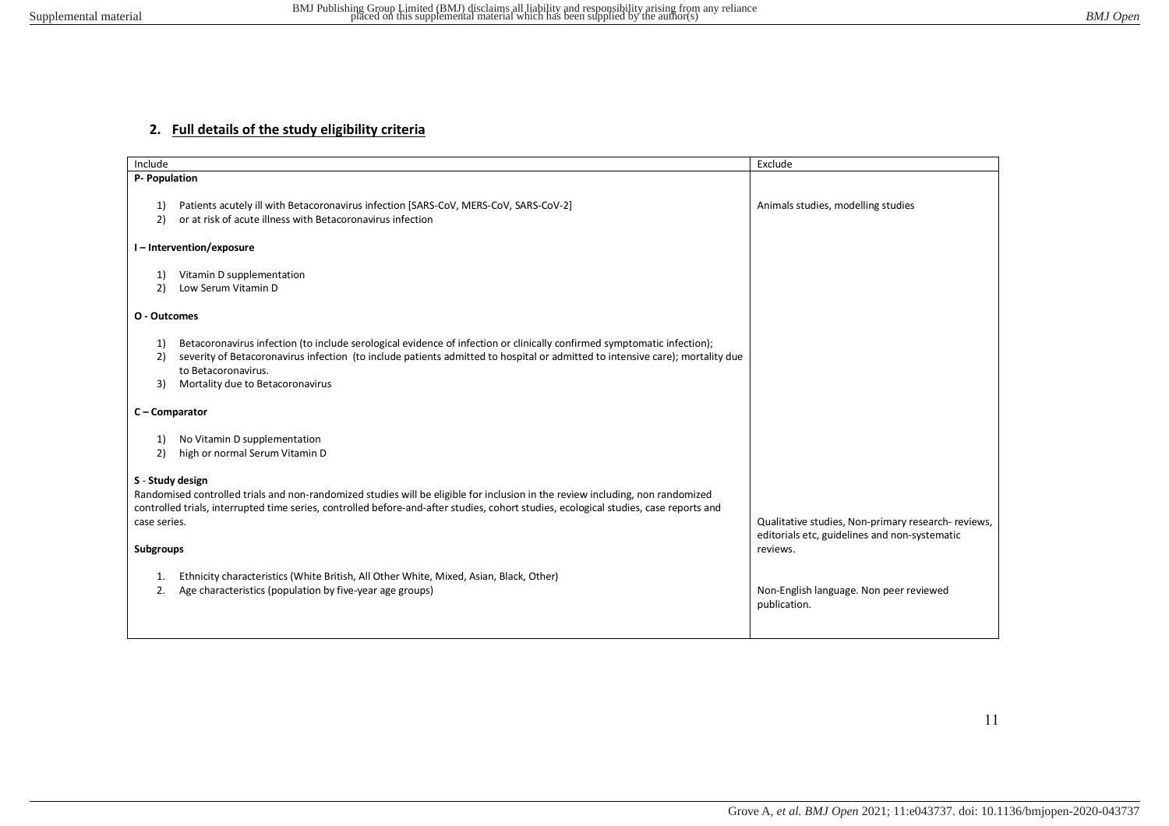### **2. Full details of the study eligibility criteria**

| Include                                       |                                                                                                                                                                                                                                                                                                                     | Exclude                                                                                                          |
|-----------------------------------------------|---------------------------------------------------------------------------------------------------------------------------------------------------------------------------------------------------------------------------------------------------------------------------------------------------------------------|------------------------------------------------------------------------------------------------------------------|
| P- Population                                 |                                                                                                                                                                                                                                                                                                                     |                                                                                                                  |
| 1)<br>2)                                      | Patients acutely ill with Betacoronavirus infection [SARS-CoV, MERS-CoV, SARS-CoV-2]<br>or at risk of acute illness with Betacoronavirus infection                                                                                                                                                                  | Animals studies, modelling studies                                                                               |
|                                               | I-Intervention/exposure                                                                                                                                                                                                                                                                                             |                                                                                                                  |
| 1)<br>2)                                      | Vitamin D supplementation<br>Low Serum Vitamin D                                                                                                                                                                                                                                                                    |                                                                                                                  |
| O - Outcomes                                  |                                                                                                                                                                                                                                                                                                                     |                                                                                                                  |
| 1)<br>2)<br>3)                                | Betacoronavirus infection (to include serological evidence of infection or clinically confirmed symptomatic infection);<br>severity of Betacoronavirus infection (to include patients admitted to hospital or admitted to intensive care); mortality due<br>to Betacoronavirus.<br>Mortality due to Betacoronavirus |                                                                                                                  |
| C - Comparator                                |                                                                                                                                                                                                                                                                                                                     |                                                                                                                  |
| 1)<br>2)                                      | No Vitamin D supplementation<br>high or normal Serum Vitamin D                                                                                                                                                                                                                                                      |                                                                                                                  |
| S - Study design<br>case series.<br>Subgroups | Randomised controlled trials and non-randomized studies will be eligible for inclusion in the review including, non randomized<br>controlled trials, interrupted time series, controlled before-and-after studies, cohort studies, ecological studies, case reports and                                             | Qualitative studies, Non-primary research- reviews,<br>editorials etc, guidelines and non-systematic<br>reviews. |
| 1.<br>2.                                      | Ethnicity characteristics (White British, All Other White, Mixed, Asian, Black, Other)<br>Age characteristics (population by five-year age groups)                                                                                                                                                                  | Non-English language. Non peer reviewed<br>publication.                                                          |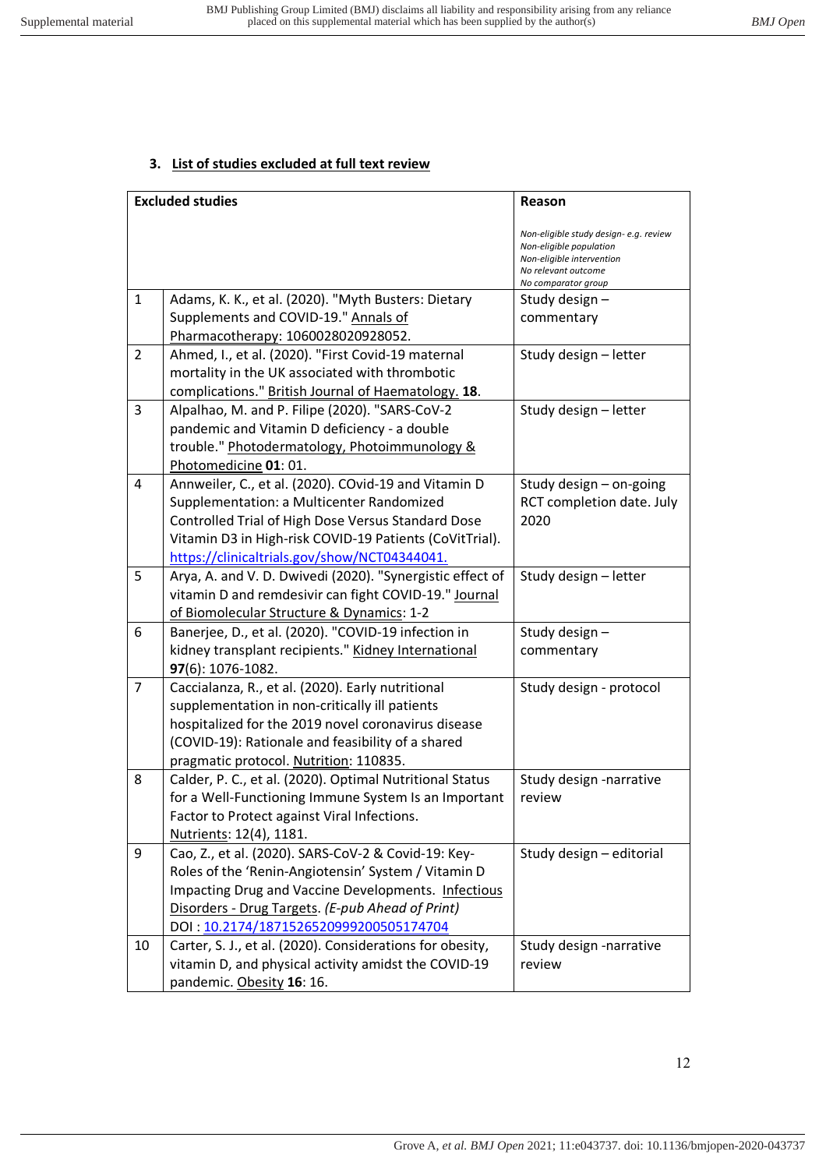# **3. List of studies excluded at full text review**

|                | <b>Excluded studies</b>                                                                                  | Reason                                                                                                                                       |
|----------------|----------------------------------------------------------------------------------------------------------|----------------------------------------------------------------------------------------------------------------------------------------------|
|                |                                                                                                          | Non-eligible study design- e.g. review<br>Non-eligible population<br>Non-eligible intervention<br>No relevant outcome<br>No comparator group |
| $\mathbf{1}$   | Adams, K. K., et al. (2020). "Myth Busters: Dietary                                                      | Study design -                                                                                                                               |
|                | Supplements and COVID-19." Annals of                                                                     | commentary                                                                                                                                   |
|                | Pharmacotherapy: 1060028020928052.                                                                       |                                                                                                                                              |
| $\overline{2}$ | Ahmed, I., et al. (2020). "First Covid-19 maternal                                                       | Study design - letter                                                                                                                        |
|                | mortality in the UK associated with thrombotic                                                           |                                                                                                                                              |
|                | complications." British Journal of Haematology. 18.                                                      |                                                                                                                                              |
| 3              | Alpalhao, M. and P. Filipe (2020). "SARS-CoV-2                                                           | Study design - letter                                                                                                                        |
|                | pandemic and Vitamin D deficiency - a double                                                             |                                                                                                                                              |
|                | trouble." Photodermatology, Photoimmunology &                                                            |                                                                                                                                              |
|                | Photomedicine 01: 01.                                                                                    |                                                                                                                                              |
| 4              | Annweiler, C., et al. (2020). COvid-19 and Vitamin D                                                     | Study design - on-going                                                                                                                      |
|                | Supplementation: a Multicenter Randomized                                                                | RCT completion date. July                                                                                                                    |
|                | Controlled Trial of High Dose Versus Standard Dose                                                       | 2020                                                                                                                                         |
|                | Vitamin D3 in High-risk COVID-19 Patients (CoVitTrial).                                                  |                                                                                                                                              |
|                | https://clinicaltrials.gov/show/NCT04344041.                                                             |                                                                                                                                              |
| 5              | Arya, A. and V. D. Dwivedi (2020). "Synergistic effect of                                                | Study design - letter                                                                                                                        |
|                | vitamin D and remdesivir can fight COVID-19." Journal                                                    |                                                                                                                                              |
|                | of Biomolecular Structure & Dynamics: 1-2                                                                |                                                                                                                                              |
| 6              | Banerjee, D., et al. (2020). "COVID-19 infection in                                                      | Study design-                                                                                                                                |
|                | kidney transplant recipients." Kidney International                                                      | commentary                                                                                                                                   |
|                | 97(6): 1076-1082.                                                                                        |                                                                                                                                              |
| 7              | Caccialanza, R., et al. (2020). Early nutritional                                                        | Study design - protocol                                                                                                                      |
|                | supplementation in non-critically ill patients                                                           |                                                                                                                                              |
|                | hospitalized for the 2019 novel coronavirus disease<br>(COVID-19): Rationale and feasibility of a shared |                                                                                                                                              |
|                | pragmatic protocol. Nutrition: 110835.                                                                   |                                                                                                                                              |
| 8              | Calder, P. C., et al. (2020). Optimal Nutritional Status                                                 | Study design -narrative                                                                                                                      |
|                | for a Well-Functioning Immune System Is an Important                                                     | review                                                                                                                                       |
|                | Factor to Protect against Viral Infections.                                                              |                                                                                                                                              |
|                | Nutrients: 12(4), 1181.                                                                                  |                                                                                                                                              |
| 9              | Cao, Z., et al. (2020). SARS-CoV-2 & Covid-19: Key-                                                      | Study design - editorial                                                                                                                     |
|                | Roles of the 'Renin-Angiotensin' System / Vitamin D                                                      |                                                                                                                                              |
|                | Impacting Drug and Vaccine Developments. Infectious                                                      |                                                                                                                                              |
|                | Disorders - Drug Targets. (E-pub Ahead of Print)                                                         |                                                                                                                                              |
|                | DOI: 10.2174/1871526520999200505174704                                                                   |                                                                                                                                              |
| 10             | Carter, S. J., et al. (2020). Considerations for obesity,                                                | Study design -narrative                                                                                                                      |
|                | vitamin D, and physical activity amidst the COVID-19                                                     | review                                                                                                                                       |
|                | pandemic. Obesity 16: 16.                                                                                |                                                                                                                                              |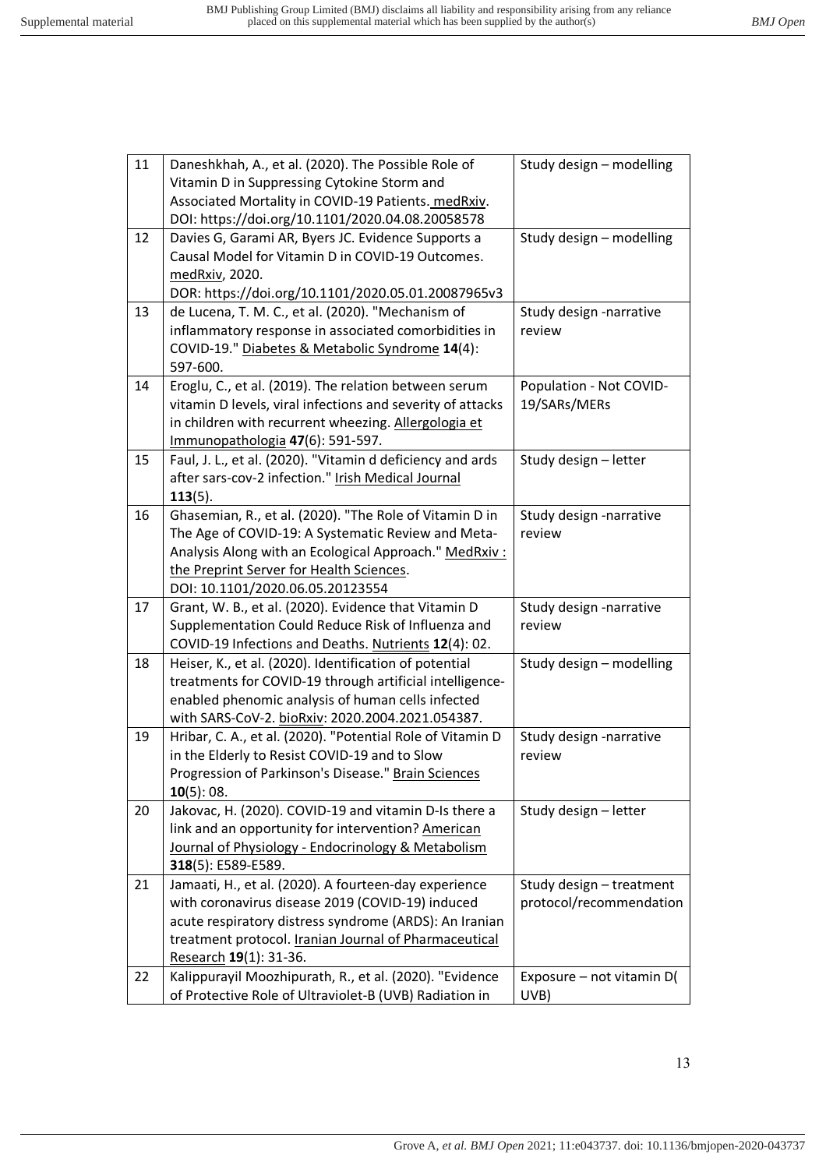| 11 | Daneshkhah, A., et al. (2020). The Possible Role of        | Study design - modelling  |
|----|------------------------------------------------------------|---------------------------|
|    | Vitamin D in Suppressing Cytokine Storm and                |                           |
|    | Associated Mortality in COVID-19 Patients. medRxiv.        |                           |
|    | DOI: https://doi.org/10.1101/2020.04.08.20058578           |                           |
| 12 | Davies G, Garami AR, Byers JC. Evidence Supports a         | Study design - modelling  |
|    | Causal Model for Vitamin D in COVID-19 Outcomes.           |                           |
|    | medRxiv, 2020.                                             |                           |
|    | DOR: https://doi.org/10.1101/2020.05.01.20087965v3         |                           |
| 13 | de Lucena, T. M. C., et al. (2020). "Mechanism of          | Study design -narrative   |
|    | inflammatory response in associated comorbidities in       | review                    |
|    | COVID-19." Diabetes & Metabolic Syndrome 14(4):            |                           |
|    | 597-600.                                                   |                           |
| 14 | Eroglu, C., et al. (2019). The relation between serum      | Population - Not COVID-   |
|    | vitamin D levels, viral infections and severity of attacks | 19/SARs/MERs              |
|    | in children with recurrent wheezing. Allergologia et       |                           |
|    | Immunopathologia 47(6): 591-597.                           |                           |
| 15 | Faul, J. L., et al. (2020). "Vitamin d deficiency and ards | Study design - letter     |
|    | after sars-cov-2 infection." Irish Medical Journal         |                           |
|    | $113(5)$ .                                                 |                           |
| 16 | Ghasemian, R., et al. (2020). "The Role of Vitamin D in    | Study design -narrative   |
|    | The Age of COVID-19: A Systematic Review and Meta-         | review                    |
|    | Analysis Along with an Ecological Approach." MedRxiv:      |                           |
|    | the Preprint Server for Health Sciences.                   |                           |
|    | DOI: 10.1101/2020.06.05.20123554                           |                           |
| 17 | Grant, W. B., et al. (2020). Evidence that Vitamin D       | Study design -narrative   |
|    | Supplementation Could Reduce Risk of Influenza and         | review                    |
|    | COVID-19 Infections and Deaths. Nutrients 12(4): 02.       |                           |
| 18 | Heiser, K., et al. (2020). Identification of potential     | Study design - modelling  |
|    | treatments for COVID-19 through artificial intelligence-   |                           |
|    | enabled phenomic analysis of human cells infected          |                           |
|    | with SARS-CoV-2. bioRxiv: 2020.2004.2021.054387.           |                           |
| 19 | Hribar, C. A., et al. (2020). "Potential Role of Vitamin D | Study design -narrative   |
|    | in the Elderly to Resist COVID-19 and to Slow              | review                    |
|    | Progression of Parkinson's Disease." Brain Sciences        |                           |
|    | 10(5):08.                                                  |                           |
| 20 | Jakovac, H. (2020). COVID-19 and vitamin D-Is there a      | Study design - letter     |
|    | link and an opportunity for intervention? American         |                           |
|    | Journal of Physiology - Endocrinology & Metabolism         |                           |
|    | 318(5): E589-E589.                                         |                           |
| 21 | Jamaati, H., et al. (2020). A fourteen-day experience      | Study design - treatment  |
|    | with coronavirus disease 2019 (COVID-19) induced           | protocol/recommendation   |
|    | acute respiratory distress syndrome (ARDS): An Iranian     |                           |
|    | treatment protocol. Iranian Journal of Pharmaceutical      |                           |
|    | Research 19(1): 31-36.                                     |                           |
| 22 | Kalippurayil Moozhipurath, R., et al. (2020). "Evidence    | Exposure - not vitamin D( |
|    | of Protective Role of Ultraviolet-B (UVB) Radiation in     | UVB)                      |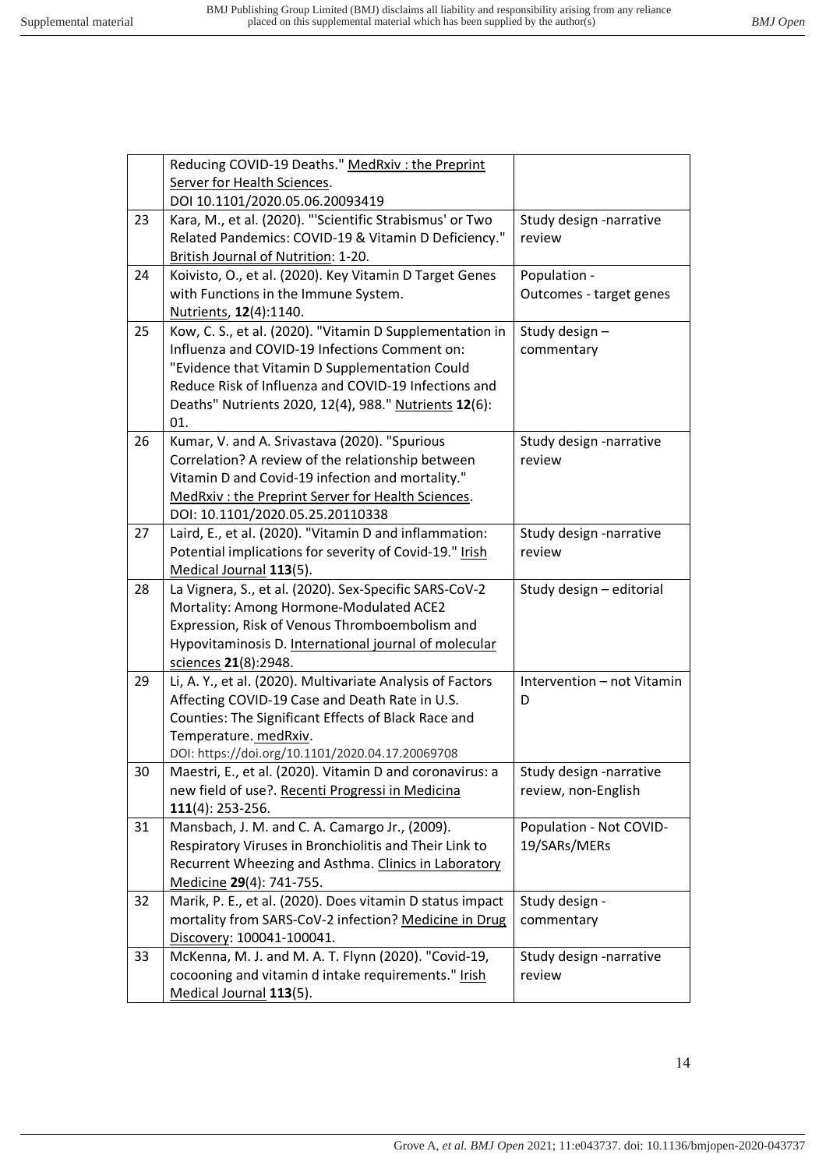Г

|    | Reducing COVID-19 Deaths." MedRxiv: the Preprint                               |                            |
|----|--------------------------------------------------------------------------------|----------------------------|
|    | Server for Health Sciences.                                                    |                            |
|    | DOI 10.1101/2020.05.06.20093419                                                |                            |
| 23 | Kara, M., et al. (2020). "'Scientific Strabismus' or Two                       | Study design -narrative    |
|    | Related Pandemics: COVID-19 & Vitamin D Deficiency."                           | review                     |
|    | British Journal of Nutrition: 1-20.                                            |                            |
| 24 | Koivisto, O., et al. (2020). Key Vitamin D Target Genes                        | Population -               |
|    | with Functions in the Immune System.                                           | Outcomes - target genes    |
|    | Nutrients, 12(4):1140.                                                         |                            |
| 25 | Kow, C. S., et al. (2020). "Vitamin D Supplementation in                       | Study design-              |
|    | Influenza and COVID-19 Infections Comment on:                                  | commentary                 |
|    | "Evidence that Vitamin D Supplementation Could                                 |                            |
|    | Reduce Risk of Influenza and COVID-19 Infections and                           |                            |
|    | Deaths" Nutrients 2020, 12(4), 988." Nutrients 12(6):                          |                            |
|    | 01.                                                                            |                            |
| 26 | Kumar, V. and A. Srivastava (2020). "Spurious                                  | Study design -narrative    |
|    | Correlation? A review of the relationship between                              | review                     |
|    | Vitamin D and Covid-19 infection and mortality."                               |                            |
|    | MedRxiv: the Preprint Server for Health Sciences.                              |                            |
|    | DOI: 10.1101/2020.05.25.20110338                                               |                            |
| 27 | Laird, E., et al. (2020). "Vitamin D and inflammation:                         | Study design -narrative    |
|    | Potential implications for severity of Covid-19." Irish                        | review                     |
|    | Medical Journal 113(5).                                                        |                            |
|    |                                                                                |                            |
| 28 | La Vignera, S., et al. (2020). Sex-Specific SARS-CoV-2                         | Study design - editorial   |
|    | Mortality: Among Hormone-Modulated ACE2                                        |                            |
|    | Expression, Risk of Venous Thromboembolism and                                 |                            |
|    | Hypovitaminosis D. International journal of molecular                          |                            |
|    | sciences 21(8):2948.                                                           |                            |
| 29 | Li, A. Y., et al. (2020). Multivariate Analysis of Factors                     | Intervention - not Vitamin |
|    | Affecting COVID-19 Case and Death Rate in U.S.                                 | D                          |
|    | Counties: The Significant Effects of Black Race and                            |                            |
|    | Temperature. medRxiv.                                                          |                            |
|    | DOI: https://doi.org/10.1101/2020.04.17.20069708                               |                            |
| 30 | Maestri, E., et al. (2020). Vitamin D and coronavirus: a                       | Study design -narrative    |
|    | new field of use?. Recenti Progressi in Medicina                               | review, non-English        |
|    | $111(4): 253-256.$                                                             |                            |
| 31 | Mansbach, J. M. and C. A. Camargo Jr., (2009).                                 | Population - Not COVID-    |
|    | Respiratory Viruses in Bronchiolitis and Their Link to                         | 19/SARs/MERs               |
|    | Recurrent Wheezing and Asthma. Clinics in Laboratory                           |                            |
|    | Medicine 29(4): 741-755.                                                       |                            |
| 32 | Marik, P. E., et al. (2020). Does vitamin D status impact                      | Study design -             |
|    | mortality from SARS-CoV-2 infection? Medicine in Drug                          | commentary                 |
|    | Discovery: 100041-100041.                                                      |                            |
| 33 | McKenna, M. J. and M. A. T. Flynn (2020). "Covid-19,                           | Study design -narrative    |
|    | cocooning and vitamin d intake requirements." Irish<br>Medical Journal 113(5). | review                     |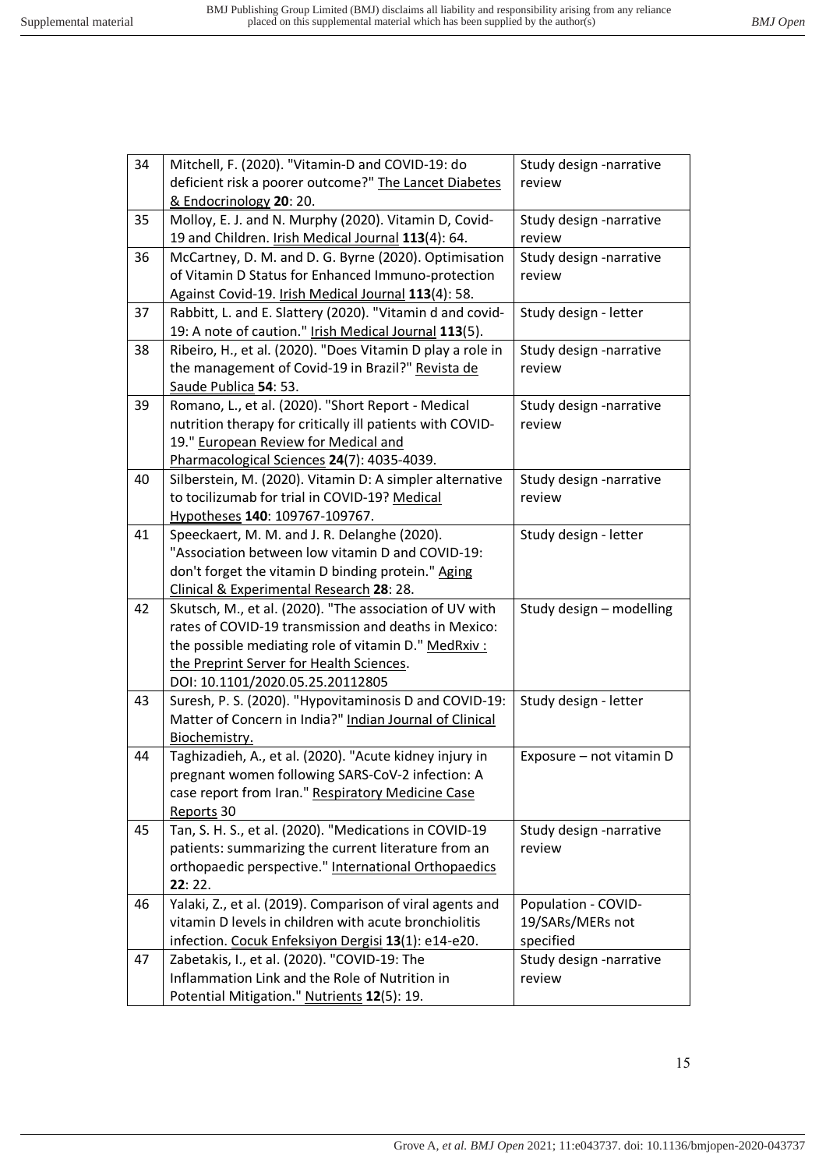| 34 | Mitchell, F. (2020). "Vitamin-D and COVID-19: do           | Study design -narrative  |
|----|------------------------------------------------------------|--------------------------|
|    | deficient risk a poorer outcome?" The Lancet Diabetes      | review                   |
|    | & Endocrinology 20: 20.                                    |                          |
| 35 | Molloy, E. J. and N. Murphy (2020). Vitamin D, Covid-      | Study design -narrative  |
|    | 19 and Children. Irish Medical Journal 113(4): 64.         | review                   |
| 36 | McCartney, D. M. and D. G. Byrne (2020). Optimisation      | Study design -narrative  |
|    | of Vitamin D Status for Enhanced Immuno-protection         | review                   |
|    | Against Covid-19. Irish Medical Journal 113(4): 58.        |                          |
| 37 | Rabbitt, L. and E. Slattery (2020). "Vitamin d and covid-  | Study design - letter    |
|    | 19: A note of caution." Irish Medical Journal 113(5).      |                          |
| 38 | Ribeiro, H., et al. (2020). "Does Vitamin D play a role in | Study design -narrative  |
|    | the management of Covid-19 in Brazil?" Revista de          | review                   |
|    | Saude Publica 54: 53.                                      |                          |
| 39 | Romano, L., et al. (2020). "Short Report - Medical         | Study design -narrative  |
|    | nutrition therapy for critically ill patients with COVID-  | review                   |
|    | 19." European Review for Medical and                       |                          |
|    | Pharmacological Sciences 24(7): 4035-4039.                 |                          |
| 40 | Silberstein, M. (2020). Vitamin D: A simpler alternative   | Study design -narrative  |
|    | to tocilizumab for trial in COVID-19? Medical              | review                   |
|    | Hypotheses 140: 109767-109767.                             |                          |
| 41 | Speeckaert, M. M. and J. R. Delanghe (2020).               | Study design - letter    |
|    | "Association between low vitamin D and COVID-19:           |                          |
|    | don't forget the vitamin D binding protein." Aging         |                          |
|    | Clinical & Experimental Research 28: 28.                   |                          |
| 42 | Skutsch, M., et al. (2020). "The association of UV with    | Study design - modelling |
|    | rates of COVID-19 transmission and deaths in Mexico:       |                          |
|    | the possible mediating role of vitamin D." MedRxiv :       |                          |
|    | the Preprint Server for Health Sciences.                   |                          |
|    | DOI: 10.1101/2020.05.25.20112805                           |                          |
| 43 | Suresh, P. S. (2020). "Hypovitaminosis D and COVID-19:     | Study design - letter    |
|    | Matter of Concern in India?" Indian Journal of Clinical    |                          |
|    | Biochemistry.                                              |                          |
| 44 | Taghizadieh, A., et al. (2020). "Acute kidney injury in    | Exposure - not vitamin D |
|    | pregnant women following SARS-CoV-2 infection: A           |                          |
|    | case report from Iran." Respiratory Medicine Case          |                          |
|    | Reports 30                                                 |                          |
| 45 | Tan, S. H. S., et al. (2020). "Medications in COVID-19     | Study design -narrative  |
|    | patients: summarizing the current literature from an       | review                   |
|    | orthopaedic perspective." International Orthopaedics       |                          |
|    | 22:22.                                                     |                          |
| 46 | Yalaki, Z., et al. (2019). Comparison of viral agents and  | Population - COVID-      |
|    | vitamin D levels in children with acute bronchiolitis      | 19/SARs/MERs not         |
|    | infection. Cocuk Enfeksiyon Dergisi 13(1): e14-e20.        | specified                |
| 47 | Zabetakis, I., et al. (2020). "COVID-19: The               | Study design -narrative  |
|    | Inflammation Link and the Role of Nutrition in             | review                   |
|    | Potential Mitigation." Nutrients 12(5): 19.                |                          |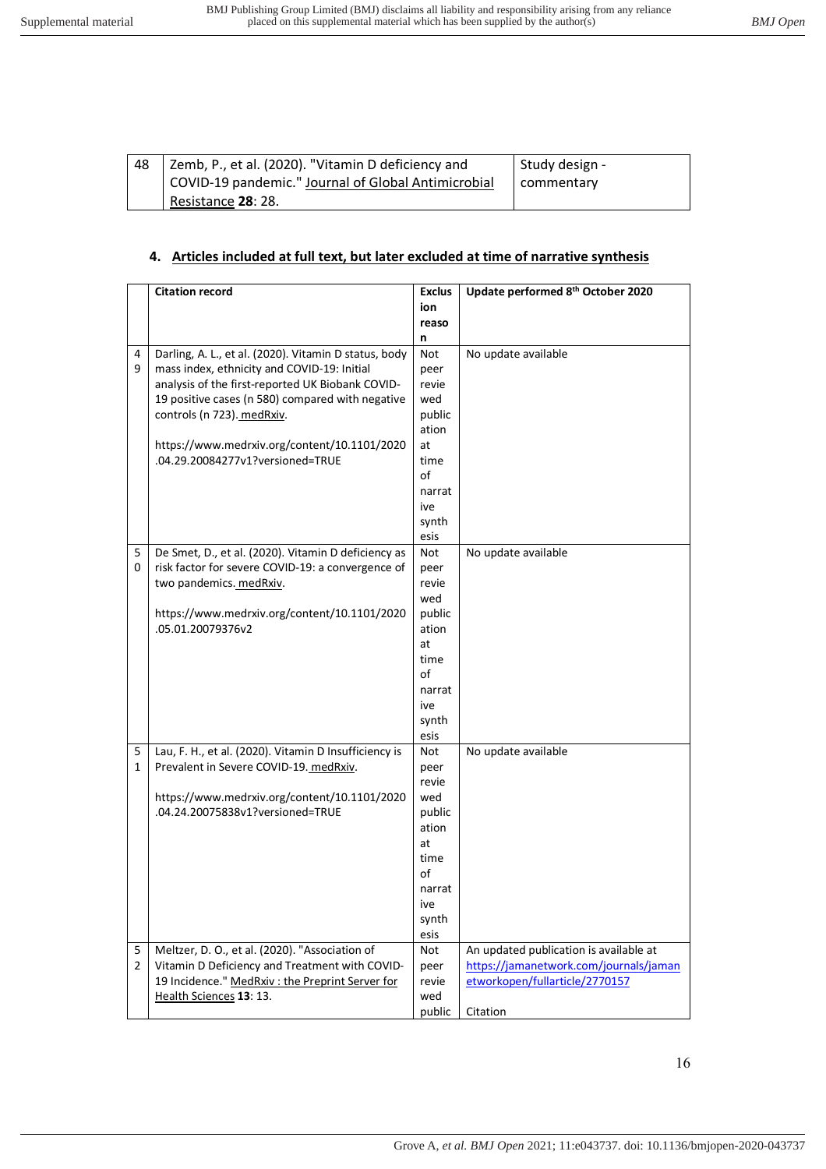| 48 | I Zemb, P., et al. (2020). "Vitamin D deficiency and | Study design - |
|----|------------------------------------------------------|----------------|
|    | COVID-19 pandemic." Journal of Global Antimicrobial  | commentary     |
|    | Resistance 28: 28.                                   |                |

# **4. Articles included at full text, but later excluded at time of narrative synthesis**

|                     | <b>Citation record</b>                                | <b>Exclus</b> | Update performed 8 <sup>th</sup> October 2020                                    |
|---------------------|-------------------------------------------------------|---------------|----------------------------------------------------------------------------------|
|                     |                                                       | ion           |                                                                                  |
|                     |                                                       | reaso         |                                                                                  |
|                     |                                                       | n             |                                                                                  |
| 4                   | Darling, A. L., et al. (2020). Vitamin D status, body | Not           | No update available                                                              |
| 9                   | mass index, ethnicity and COVID-19: Initial           | peer          |                                                                                  |
|                     | analysis of the first-reported UK Biobank COVID-      | revie         |                                                                                  |
|                     | 19 positive cases (n 580) compared with negative      | wed           |                                                                                  |
|                     | controls (n 723). medRxiv.                            | public        |                                                                                  |
|                     |                                                       | ation         |                                                                                  |
|                     | https://www.medrxiv.org/content/10.1101/2020          | at            |                                                                                  |
|                     | .04.29.20084277v1?versioned=TRUE                      | time          |                                                                                  |
|                     |                                                       | of            |                                                                                  |
|                     |                                                       | narrat        |                                                                                  |
|                     |                                                       | ive           |                                                                                  |
|                     |                                                       | synth         |                                                                                  |
|                     |                                                       | esis          |                                                                                  |
| 5                   | De Smet, D., et al. (2020). Vitamin D deficiency as   | Not           | No update available                                                              |
| 0                   | risk factor for severe COVID-19: a convergence of     | peer          |                                                                                  |
|                     | two pandemics. medRxiv.                               | revie         |                                                                                  |
|                     |                                                       | wed           |                                                                                  |
|                     | https://www.medrxiv.org/content/10.1101/2020          | public        |                                                                                  |
|                     | .05.01.20079376v2                                     | ation         |                                                                                  |
|                     |                                                       | at            |                                                                                  |
|                     |                                                       | time          |                                                                                  |
|                     |                                                       | οf            |                                                                                  |
|                     |                                                       | narrat        |                                                                                  |
|                     |                                                       | ive           |                                                                                  |
|                     |                                                       | synth         |                                                                                  |
|                     |                                                       | esis          |                                                                                  |
| 5                   | Lau, F. H., et al. (2020). Vitamin D Insufficiency is | Not           | No update available                                                              |
| 1                   | Prevalent in Severe COVID-19. medRxiv.                | peer          |                                                                                  |
|                     |                                                       | revie         |                                                                                  |
|                     | https://www.medrxiv.org/content/10.1101/2020          | wed           |                                                                                  |
|                     | .04.24.20075838v1?versioned=TRUE                      | public        |                                                                                  |
|                     |                                                       | ation         |                                                                                  |
|                     |                                                       | at            |                                                                                  |
|                     |                                                       | time          |                                                                                  |
|                     |                                                       | of            |                                                                                  |
|                     |                                                       | narrat        |                                                                                  |
|                     |                                                       | ive           |                                                                                  |
|                     |                                                       | synth         |                                                                                  |
|                     | Meltzer, D. O., et al. (2020). "Association of        | esis          |                                                                                  |
| 5<br>$\overline{2}$ | Vitamin D Deficiency and Treatment with COVID-        | Not           | An updated publication is available at<br>https://jamanetwork.com/journals/jaman |
|                     | 19 Incidence." MedRxiv: the Preprint Server for       | peer<br>revie | etworkopen/fullarticle/2770157                                                   |
|                     | Health Sciences 13: 13.                               | wed           |                                                                                  |
|                     |                                                       |               | Citation                                                                         |
|                     |                                                       | public        |                                                                                  |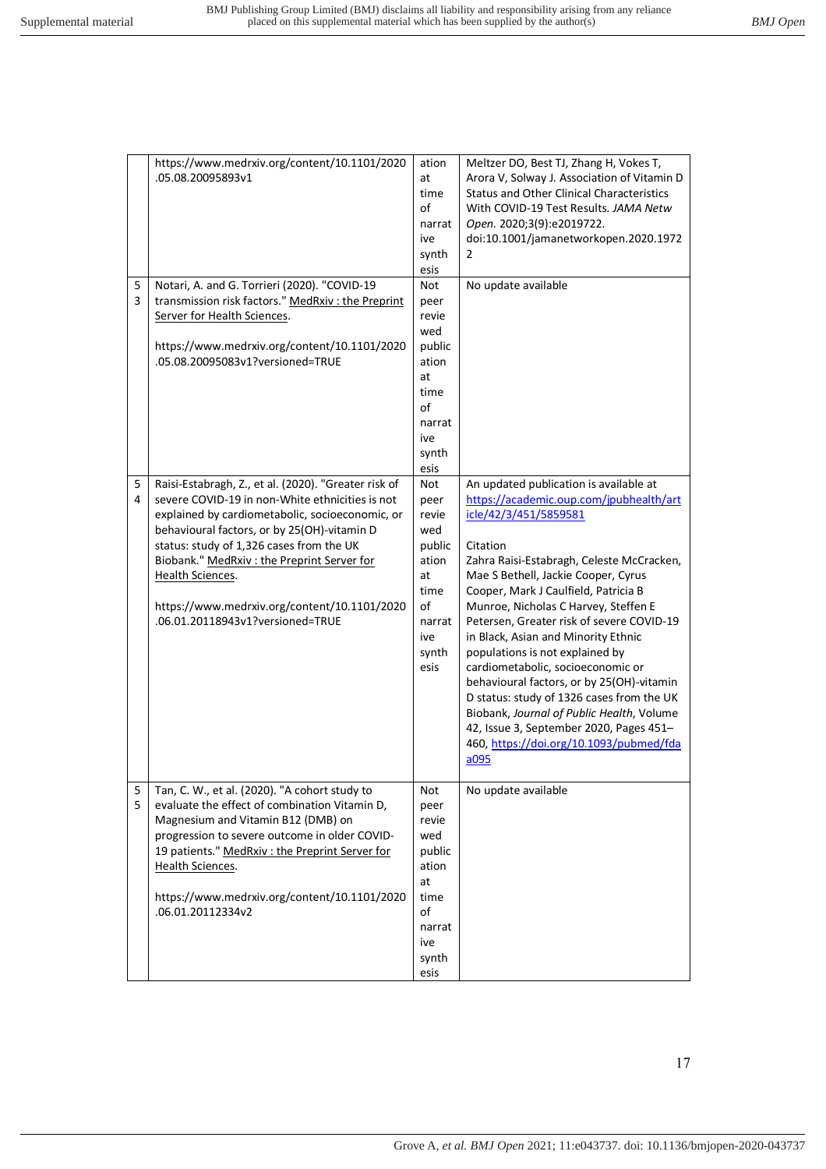|        | https://www.medrxiv.org/content/10.1101/2020<br>.05.08.20095893v1                                                                                                                                                                                                                                                                                                                                           | ation<br>at<br>time<br>of<br>narrat<br>ive<br>synth<br>esis                                          | Meltzer DO, Best TJ, Zhang H, Vokes T,<br>Arora V, Solway J. Association of Vitamin D<br><b>Status and Other Clinical Characteristics</b><br>With COVID-19 Test Results. JAMA Netw<br>Open. 2020;3(9):e2019722.<br>doi:10.1001/jamanetworkopen.2020.1972<br>$\overline{2}$                                                                                                                                                                                                                                                                                                                                                                                                                  |
|--------|-------------------------------------------------------------------------------------------------------------------------------------------------------------------------------------------------------------------------------------------------------------------------------------------------------------------------------------------------------------------------------------------------------------|------------------------------------------------------------------------------------------------------|---------------------------------------------------------------------------------------------------------------------------------------------------------------------------------------------------------------------------------------------------------------------------------------------------------------------------------------------------------------------------------------------------------------------------------------------------------------------------------------------------------------------------------------------------------------------------------------------------------------------------------------------------------------------------------------------|
| 5<br>3 | Notari, A. and G. Torrieri (2020). "COVID-19<br>transmission risk factors." MedRxiv: the Preprint<br>Server for Health Sciences.<br>https://www.medrxiv.org/content/10.1101/2020<br>.05.08.20095083v1?versioned=TRUE                                                                                                                                                                                        | Not<br>peer<br>revie<br>wed<br>public<br>ation<br>at<br>time<br>of<br>narrat<br>ive<br>synth<br>esis | No update available                                                                                                                                                                                                                                                                                                                                                                                                                                                                                                                                                                                                                                                                         |
| 5<br>4 | Raisi-Estabragh, Z., et al. (2020). "Greater risk of<br>severe COVID-19 in non-White ethnicities is not<br>explained by cardiometabolic, socioeconomic, or<br>behavioural factors, or by 25(OH)-vitamin D<br>status: study of 1,326 cases from the UK<br>Biobank." MedRxiv: the Preprint Server for<br>Health Sciences.<br>https://www.medrxiv.org/content/10.1101/2020<br>.06.01.20118943v1?versioned=TRUE | Not<br>peer<br>revie<br>wed<br>public<br>ation<br>at<br>time<br>of<br>narrat<br>ive<br>synth<br>esis | An updated publication is available at<br>https://academic.oup.com/jpubhealth/art<br>icle/42/3/451/5859581<br>Citation<br>Zahra Raisi-Estabragh, Celeste McCracken,<br>Mae S Bethell, Jackie Cooper, Cyrus<br>Cooper, Mark J Caulfield, Patricia B<br>Munroe, Nicholas C Harvey, Steffen E<br>Petersen, Greater risk of severe COVID-19<br>in Black, Asian and Minority Ethnic<br>populations is not explained by<br>cardiometabolic, socioeconomic or<br>behavioural factors, or by 25(OH)-vitamin<br>D status: study of 1326 cases from the UK<br>Biobank, Journal of Public Health, Volume<br>42, Issue 3, September 2020, Pages 451-<br>460, https://doi.org/10.1093/pubmed/fda<br>a095 |
| 5<br>5 | Tan, C. W., et al. (2020). "A cohort study to<br>evaluate the effect of combination Vitamin D,<br>Magnesium and Vitamin B12 (DMB) on<br>progression to severe outcome in older COVID-<br>19 patients." MedRxiv : the Preprint Server for<br>Health Sciences.<br>https://www.medrxiv.org/content/10.1101/2020<br>.06.01.20112334v2                                                                           | Not<br>peer<br>revie<br>wed<br>public<br>ation<br>at<br>time<br>of<br>narrat<br>ive<br>synth<br>esis | No update available                                                                                                                                                                                                                                                                                                                                                                                                                                                                                                                                                                                                                                                                         |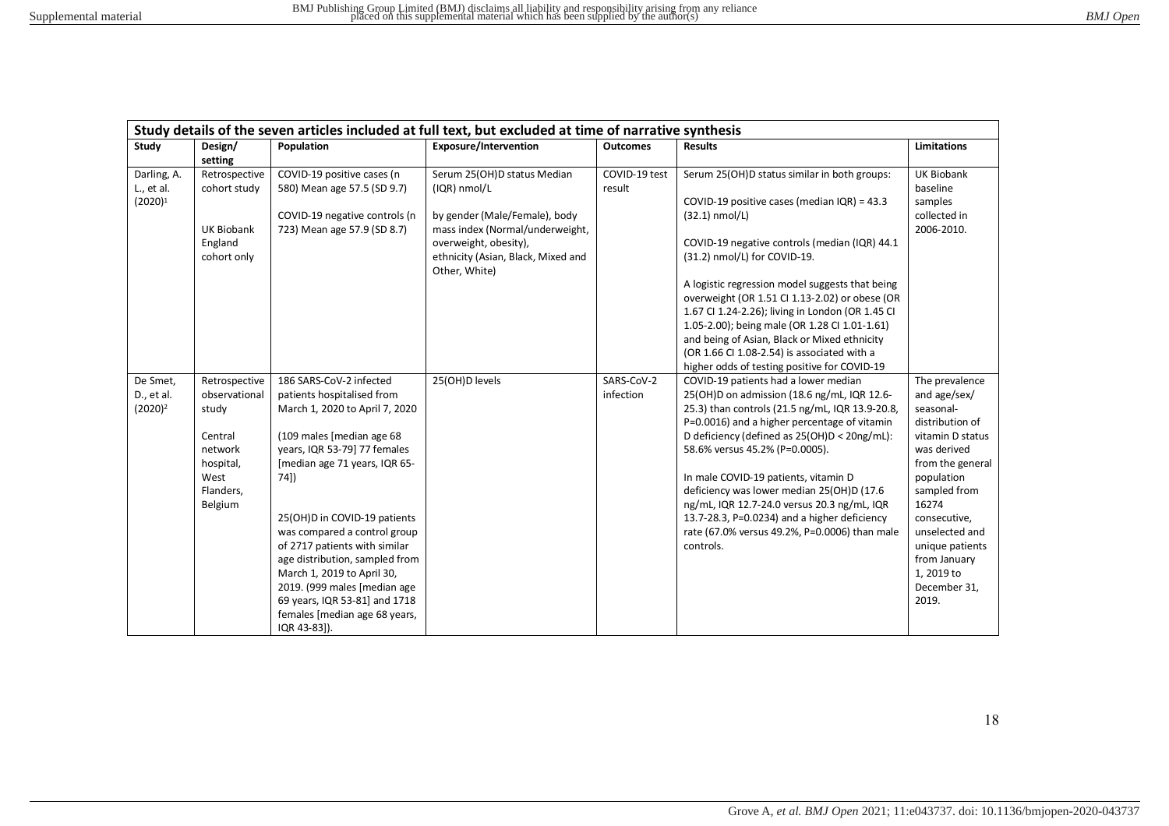|                                         |                                                                                                            |                                                                                                                                                                                                                                                                                                                                                                                                                                                                                  | Study details of the seven articles included at full text, but excluded at time of narrative synthesis                                                                                          |                         |                                                                                                                                                                                                                                                                                                                                                                                                                                                                                                                                                                            |                                                                                                                                                                                                                                                                          |
|-----------------------------------------|------------------------------------------------------------------------------------------------------------|----------------------------------------------------------------------------------------------------------------------------------------------------------------------------------------------------------------------------------------------------------------------------------------------------------------------------------------------------------------------------------------------------------------------------------------------------------------------------------|-------------------------------------------------------------------------------------------------------------------------------------------------------------------------------------------------|-------------------------|----------------------------------------------------------------------------------------------------------------------------------------------------------------------------------------------------------------------------------------------------------------------------------------------------------------------------------------------------------------------------------------------------------------------------------------------------------------------------------------------------------------------------------------------------------------------------|--------------------------------------------------------------------------------------------------------------------------------------------------------------------------------------------------------------------------------------------------------------------------|
| Study                                   | Design/<br>setting                                                                                         | Population                                                                                                                                                                                                                                                                                                                                                                                                                                                                       | <b>Exposure/Intervention</b>                                                                                                                                                                    | <b>Outcomes</b>         | <b>Results</b>                                                                                                                                                                                                                                                                                                                                                                                                                                                                                                                                                             | <b>Limitations</b>                                                                                                                                                                                                                                                       |
| Darling, A.<br>L., et al.<br>$(2020)^1$ | Retrospective<br>cohort study<br><b>UK Biobank</b><br>England<br>cohort only                               | COVID-19 positive cases (n<br>580) Mean age 57.5 (SD 9.7)<br>COVID-19 negative controls (n<br>723) Mean age 57.9 (SD 8.7)                                                                                                                                                                                                                                                                                                                                                        | Serum 25(OH)D status Median<br>(IQR) nmol/L<br>by gender (Male/Female), body<br>mass index (Normal/underweight,<br>overweight, obesity),<br>ethnicity (Asian, Black, Mixed and<br>Other, White) | COVID-19 test<br>result | Serum 25(OH)D status similar in both groups:<br>COVID-19 positive cases (median $IQR$ ) = 43.3<br>$(32.1)$ nmol/L)<br>COVID-19 negative controls (median (IQR) 44.1<br>(31.2) nmol/L) for COVID-19.<br>A logistic regression model suggests that being<br>overweight (OR 1.51 CI 1.13-2.02) or obese (OR<br>1.67 CI 1.24-2.26); living in London (OR 1.45 CI<br>1.05-2.00); being male (OR 1.28 CI 1.01-1.61)<br>and being of Asian, Black or Mixed ethnicity<br>(OR 1.66 CI 1.08-2.54) is associated with a                                                               | <b>UK Biobank</b><br>baseline<br>samples<br>collected in<br>2006-2010.                                                                                                                                                                                                   |
| De Smet,<br>D., et al.<br>$(2020)^2$    | Retrospective<br>observational<br>study<br>Central<br>network<br>hospital,<br>West<br>Flanders,<br>Belgium | 186 SARS-CoV-2 infected<br>patients hospitalised from<br>March 1, 2020 to April 7, 2020<br>(109 males [median age 68<br>years, IQR 53-79] 77 females<br>[median age 71 years, IQR 65-<br>74])<br>25(OH)D in COVID-19 patients<br>was compared a control group<br>of 2717 patients with similar<br>age distribution, sampled from<br>March 1, 2019 to April 30,<br>2019. (999 males [median age<br>69 years, IQR 53-81] and 1718<br>females [median age 68 years,<br>IQR 43-83]). | 25(OH)D levels                                                                                                                                                                                  | SARS-CoV-2<br>infection | higher odds of testing positive for COVID-19<br>COVID-19 patients had a lower median<br>25(OH)D on admission (18.6 ng/mL, IQR 12.6-<br>25.3) than controls (21.5 ng/mL, IQR 13.9-20.8,<br>P=0.0016) and a higher percentage of vitamin<br>D deficiency (defined as 25(OH)D < 20ng/mL):<br>58.6% versus 45.2% (P=0.0005).<br>In male COVID-19 patients, vitamin D<br>deficiency was lower median 25(OH)D (17.6<br>ng/mL, IQR 12.7-24.0 versus 20.3 ng/mL, IQR<br>13.7-28.3, P=0.0234) and a higher deficiency<br>rate (67.0% versus 49.2%, P=0.0006) than male<br>controls. | The prevalence<br>and age/sex/<br>seasonal-<br>distribution of<br>vitamin D status<br>was derived<br>from the general<br>population<br>sampled from<br>16274<br>consecutive,<br>unselected and<br>unique patients<br>from January<br>1, 2019 to<br>December 31,<br>2019. |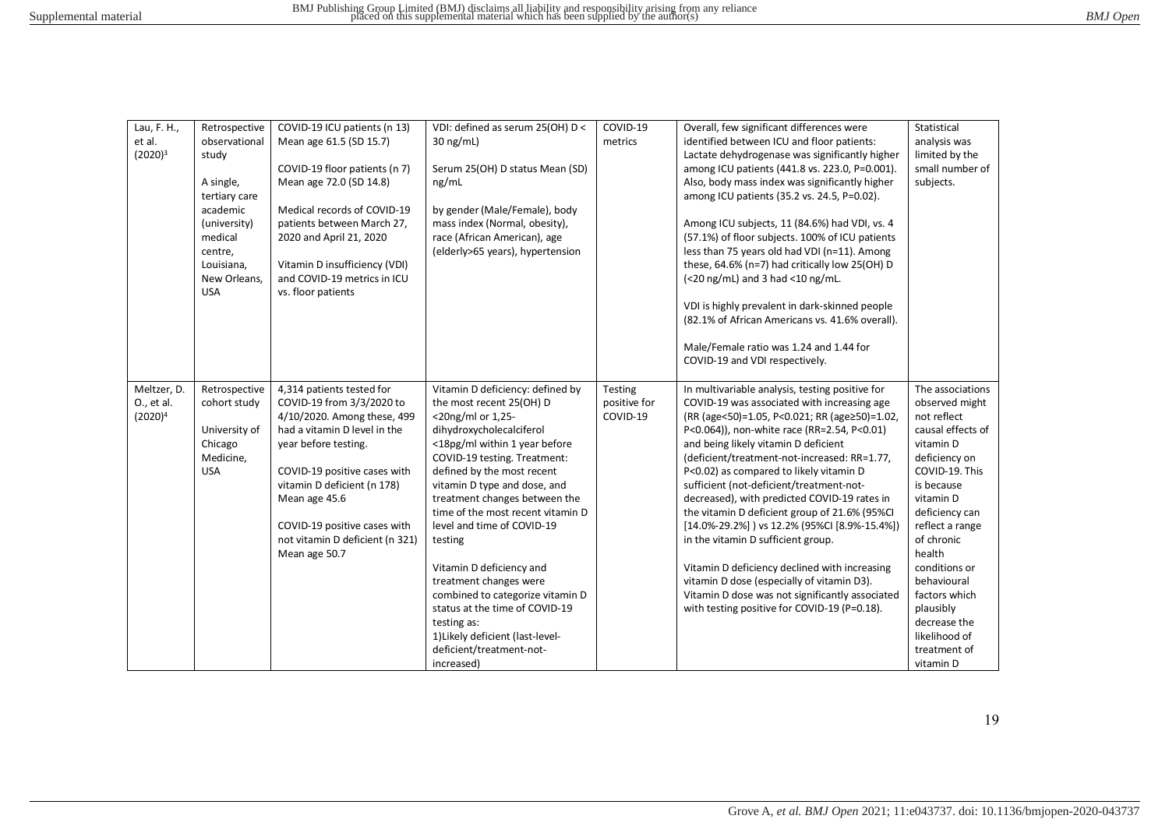| Lau, F. H.,<br>et al.<br>$(2020)^3$     | Retrospective<br>observational<br>study<br>A single,<br>tertiary care<br>academic<br>(university)<br>medical | COVID-19 ICU patients (n 13)<br>Mean age 61.5 (SD 15.7)<br>COVID-19 floor patients (n 7)<br>Mean age 72.0 (SD 14.8)<br>Medical records of COVID-19<br>patients between March 27,<br>2020 and April 21, 2020                                                                                                       | VDI: defined as serum 25(OH) D <<br>$30$ ng/mL)<br>Serum 25(OH) D status Mean (SD)<br>ng/mL<br>by gender (Male/Female), body<br>mass index (Normal, obesity),<br>race (African American), age                                                                                                                                                                                                                                                                                                                                                                                        | COVID-19<br>metrics                 | Overall, few significant differences were<br>identified between ICU and floor patients:<br>Lactate dehydrogenase was significantly higher<br>among ICU patients (441.8 vs. 223.0, P=0.001).<br>Also, body mass index was significantly higher<br>among ICU patients (35.2 vs. 24.5, P=0.02).<br>Among ICU subjects, 11 (84.6%) had VDI, vs. 4<br>(57.1%) of floor subjects. 100% of ICU patients                                                                                                                                                                                                                                                                                                                                                                       | Statistical<br>analysis was<br>limited by the<br>small number of<br>subjects.                                                                                                                                                                                                                                                              |
|-----------------------------------------|--------------------------------------------------------------------------------------------------------------|-------------------------------------------------------------------------------------------------------------------------------------------------------------------------------------------------------------------------------------------------------------------------------------------------------------------|--------------------------------------------------------------------------------------------------------------------------------------------------------------------------------------------------------------------------------------------------------------------------------------------------------------------------------------------------------------------------------------------------------------------------------------------------------------------------------------------------------------------------------------------------------------------------------------|-------------------------------------|------------------------------------------------------------------------------------------------------------------------------------------------------------------------------------------------------------------------------------------------------------------------------------------------------------------------------------------------------------------------------------------------------------------------------------------------------------------------------------------------------------------------------------------------------------------------------------------------------------------------------------------------------------------------------------------------------------------------------------------------------------------------|--------------------------------------------------------------------------------------------------------------------------------------------------------------------------------------------------------------------------------------------------------------------------------------------------------------------------------------------|
|                                         | centre,<br>Louisiana,<br>New Orleans,<br><b>USA</b>                                                          | Vitamin D insufficiency (VDI)<br>and COVID-19 metrics in ICU<br>vs. floor patients                                                                                                                                                                                                                                | (elderly>65 years), hypertension                                                                                                                                                                                                                                                                                                                                                                                                                                                                                                                                                     |                                     | less than 75 years old had VDI (n=11). Among<br>these, 64.6% (n=7) had critically low 25(OH) D<br>$\left($ <20 ng/mL) and 3 had <10 ng/mL.<br>VDI is highly prevalent in dark-skinned people<br>(82.1% of African Americans vs. 41.6% overall).<br>Male/Female ratio was 1.24 and 1.44 for<br>COVID-19 and VDI respectively.                                                                                                                                                                                                                                                                                                                                                                                                                                           |                                                                                                                                                                                                                                                                                                                                            |
| Meltzer, D.<br>O., et al.<br>$(2020)^4$ | Retrospective<br>cohort study<br>University of<br>Chicago<br>Medicine,<br><b>USA</b>                         | 4,314 patients tested for<br>COVID-19 from 3/3/2020 to<br>4/10/2020. Among these, 499<br>had a vitamin D level in the<br>year before testing.<br>COVID-19 positive cases with<br>vitamin D deficient (n 178)<br>Mean age 45.6<br>COVID-19 positive cases with<br>not vitamin D deficient (n 321)<br>Mean age 50.7 | Vitamin D deficiency: defined by<br>the most recent 25(OH) D<br><20ng/ml or 1,25-<br>dihydroxycholecalciferol<br><18pg/ml within 1 year before<br>COVID-19 testing. Treatment:<br>defined by the most recent<br>vitamin D type and dose, and<br>treatment changes between the<br>time of the most recent vitamin D<br>level and time of COVID-19<br>testing<br>Vitamin D deficiency and<br>treatment changes were<br>combined to categorize vitamin D<br>status at the time of COVID-19<br>testing as:<br>1) Likely deficient (last-level-<br>deficient/treatment-not-<br>increased) | Testing<br>positive for<br>COVID-19 | In multivariable analysis, testing positive for<br>COVID-19 was associated with increasing age<br>(RR (age<50)=1.05, P<0.021; RR (age≥50)=1.02,<br>P<0.064)), non-white race (RR=2.54, P<0.01)<br>and being likely vitamin D deficient<br>(deficient/treatment-not-increased: RR=1.77,<br>P<0.02) as compared to likely vitamin D<br>sufficient (not-deficient/treatment-not-<br>decreased), with predicted COVID-19 rates in<br>the vitamin D deficient group of 21.6% (95%CI<br>[14.0%-29.2%]) vs 12.2% (95%CI [8.9%-15.4%])<br>in the vitamin D sufficient group.<br>Vitamin D deficiency declined with increasing<br>vitamin D dose (especially of vitamin D3).<br>Vitamin D dose was not significantly associated<br>with testing positive for COVID-19 (P=0.18). | The associations<br>observed might<br>not reflect<br>causal effects of<br>vitamin D<br>deficiency on<br>COVID-19. This<br>is because<br>vitamin D<br>deficiency can<br>reflect a range<br>of chronic<br>health<br>conditions or<br>behavioural<br>factors which<br>plausibly<br>decrease the<br>likelihood of<br>treatment of<br>vitamin D |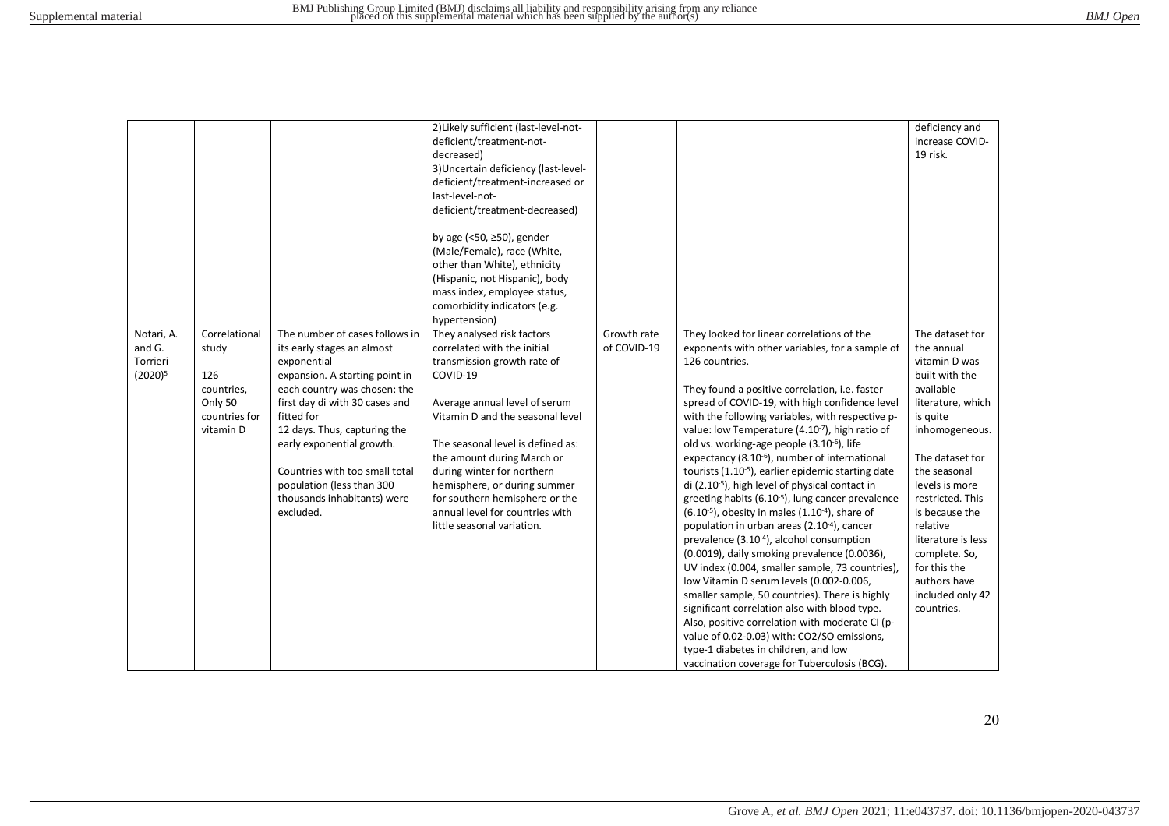|            |               |                                | 2) Likely sufficient (last-level-not- |             |                                                                | deficiency and     |
|------------|---------------|--------------------------------|---------------------------------------|-------------|----------------------------------------------------------------|--------------------|
|            |               |                                | deficient/treatment-not-              |             |                                                                | increase COVID-    |
|            |               |                                | decreased)                            |             |                                                                | 19 risk.           |
|            |               |                                | 3) Uncertain deficiency (last-level-  |             |                                                                |                    |
|            |               |                                | deficient/treatment-increased or      |             |                                                                |                    |
|            |               |                                | last-level-not-                       |             |                                                                |                    |
|            |               |                                | deficient/treatment-decreased)        |             |                                                                |                    |
|            |               |                                |                                       |             |                                                                |                    |
|            |               |                                | by age (<50, $\geq$ 50), gender       |             |                                                                |                    |
|            |               |                                | (Male/Female), race (White,           |             |                                                                |                    |
|            |               |                                | other than White), ethnicity          |             |                                                                |                    |
|            |               |                                | (Hispanic, not Hispanic), body        |             |                                                                |                    |
|            |               |                                | mass index, employee status,          |             |                                                                |                    |
|            |               |                                | comorbidity indicators (e.g.          |             |                                                                |                    |
|            |               |                                | hypertension)                         |             |                                                                |                    |
| Notari, A. | Correlational | The number of cases follows in | They analysed risk factors            | Growth rate | They looked for linear correlations of the                     | The dataset for    |
| and G.     | study         | its early stages an almost     | correlated with the initial           | of COVID-19 | exponents with other variables, for a sample of                | the annual         |
| Torrieri   |               | exponential                    | transmission growth rate of           |             | 126 countries.                                                 | vitamin D was      |
| $(2020)^5$ | 126           | expansion. A starting point in | COVID-19                              |             |                                                                | built with the     |
|            | countries,    | each country was chosen: the   |                                       |             | They found a positive correlation, i.e. faster                 | available          |
|            | Only 50       | first day di with 30 cases and | Average annual level of serum         |             | spread of COVID-19, with high confidence level                 | literature, which  |
|            | countries for | fitted for                     | Vitamin D and the seasonal level      |             | with the following variables, with respective p-               | is quite           |
|            | vitamin D     | 12 days. Thus, capturing the   |                                       |             | value: low Temperature (4.10 <sup>-7</sup> ), high ratio of    | inhomogeneous.     |
|            |               | early exponential growth.      | The seasonal level is defined as:     |             | old vs. working-age people (3.10 <sup>-6</sup> ), life         |                    |
|            |               |                                | the amount during March or            |             | expectancy (8.10-6), number of international                   | The dataset for    |
|            |               | Countries with too small total | during winter for northern            |             | tourists (1.10 <sup>-5</sup> ), earlier epidemic starting date | the seasonal       |
|            |               | population (less than 300      | hemisphere, or during summer          |             | di (2.10 <sup>-5</sup> ), high level of physical contact in    | levels is more     |
|            |               | thousands inhabitants) were    | for southern hemisphere or the        |             | greeting habits (6.10 <sup>-5</sup> ), lung cancer prevalence  | restricted. This   |
|            |               | excluded.                      | annual level for countries with       |             | $(6.10^{-5})$ , obesity in males $(1.10^{-4})$ , share of      | is because the     |
|            |               |                                | little seasonal variation.            |             | population in urban areas (2.10 <sup>-4</sup> ), cancer        | relative           |
|            |               |                                |                                       |             | prevalence (3.10-4), alcohol consumption                       | literature is less |
|            |               |                                |                                       |             | (0.0019), daily smoking prevalence (0.0036),                   | complete. So,      |
|            |               |                                |                                       |             | UV index (0.004, smaller sample, 73 countries),                | for this the       |
|            |               |                                |                                       |             | low Vitamin D serum levels (0.002-0.006,                       | authors have       |
|            |               |                                |                                       |             | smaller sample, 50 countries). There is highly                 | included only 42   |
|            |               |                                |                                       |             | significant correlation also with blood type.                  | countries.         |
|            |               |                                |                                       |             | Also, positive correlation with moderate CI (p-                |                    |
|            |               |                                |                                       |             | value of 0.02-0.03) with: CO2/SO emissions,                    |                    |
|            |               |                                |                                       |             | type-1 diabetes in children, and low                           |                    |
|            |               |                                |                                       |             | vaccination coverage for Tuberculosis (BCG).                   |                    |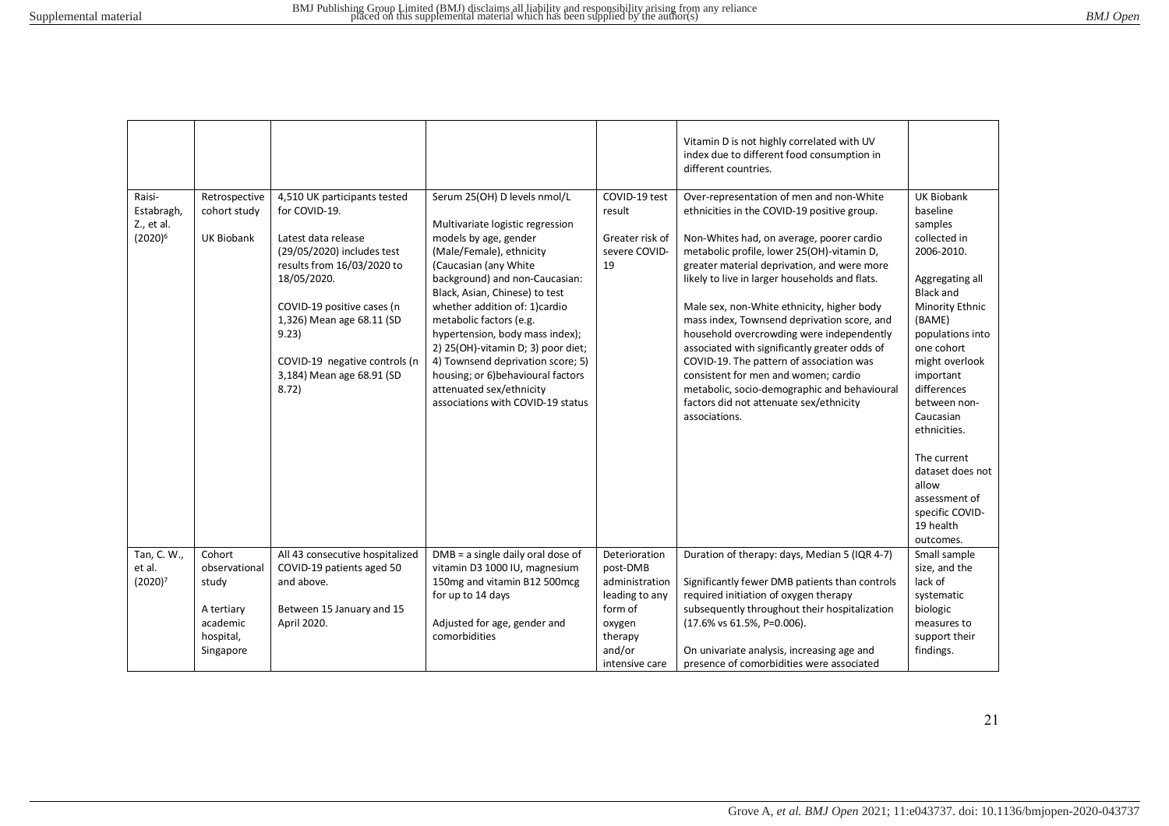|  | <b>BMJ</b> Open |
|--|-----------------|
|--|-----------------|

|                                                  |                                                    |                                                                                                                                                                                                                                                                                           |                                                                                                                                                                                                                                                                                                                                                                                                                                                                                                      |                                                                   | Vitamin D is not highly correlated with UV<br>index due to different food consumption in<br>different countries.                                                                                                                                                                                                                                                                                                                                                                                                                                                                                                                                                               |                                                                                                                                                                                                                                                                                                                                                                                   |
|--------------------------------------------------|----------------------------------------------------|-------------------------------------------------------------------------------------------------------------------------------------------------------------------------------------------------------------------------------------------------------------------------------------------|------------------------------------------------------------------------------------------------------------------------------------------------------------------------------------------------------------------------------------------------------------------------------------------------------------------------------------------------------------------------------------------------------------------------------------------------------------------------------------------------------|-------------------------------------------------------------------|--------------------------------------------------------------------------------------------------------------------------------------------------------------------------------------------------------------------------------------------------------------------------------------------------------------------------------------------------------------------------------------------------------------------------------------------------------------------------------------------------------------------------------------------------------------------------------------------------------------------------------------------------------------------------------|-----------------------------------------------------------------------------------------------------------------------------------------------------------------------------------------------------------------------------------------------------------------------------------------------------------------------------------------------------------------------------------|
| Raisi-<br>Estabragh,<br>Z., et al.<br>$(2020)^6$ | Retrospective<br>cohort study<br><b>UK Biobank</b> | 4,510 UK participants tested<br>for COVID-19.<br>Latest data release<br>(29/05/2020) includes test<br>results from 16/03/2020 to<br>18/05/2020.<br>COVID-19 positive cases (n<br>1,326) Mean age 68.11 (SD<br>9.23)<br>COVID-19 negative controls (n<br>3,184) Mean age 68.91 (SD<br>8.72 | Serum 25(OH) D levels nmol/L<br>Multivariate logistic regression<br>models by age, gender<br>(Male/Female), ethnicity<br>(Caucasian (any White<br>background) and non-Caucasian:<br>Black, Asian, Chinese) to test<br>whether addition of: 1) cardio<br>metabolic factors (e.g.<br>hypertension, body mass index);<br>2) 25(OH)-vitamin D; 3) poor diet;<br>4) Townsend deprivation score; 5)<br>housing; or 6) behavioural factors<br>attenuated sex/ethnicity<br>associations with COVID-19 status | COVID-19 test<br>result<br>Greater risk of<br>severe COVID-<br>19 | Over-representation of men and non-White<br>ethnicities in the COVID-19 positive group.<br>Non-Whites had, on average, poorer cardio<br>metabolic profile, lower 25(OH)-vitamin D,<br>greater material deprivation, and were more<br>likely to live in larger households and flats.<br>Male sex, non-White ethnicity, higher body<br>mass index, Townsend deprivation score, and<br>household overcrowding were independently<br>associated with significantly greater odds of<br>COVID-19. The pattern of association was<br>consistent for men and women; cardio<br>metabolic, socio-demographic and behavioural<br>factors did not attenuate sex/ethnicity<br>associations. | <b>UK Biobank</b><br>baseline<br>samples<br>collected in<br>2006-2010.<br>Aggregating all<br><b>Black and</b><br>Minority Ethnic<br>(BAME)<br>populations into<br>one cohort<br>might overlook<br>important<br>differences<br>between non-<br>Caucasian<br>ethnicities.<br>The current<br>dataset does not<br>allow<br>assessment of<br>specific COVID-<br>19 health<br>outcomes. |
| Tan, C. W.,                                      | Cohort                                             | All 43 consecutive hospitalized                                                                                                                                                                                                                                                           | $DMB = a$ single daily oral dose of                                                                                                                                                                                                                                                                                                                                                                                                                                                                  | Deterioration                                                     | Duration of therapy: days, Median 5 (IQR 4-7)                                                                                                                                                                                                                                                                                                                                                                                                                                                                                                                                                                                                                                  | Small sample                                                                                                                                                                                                                                                                                                                                                                      |
| et al.<br>(2020) <sup>7</sup>                    | observational<br>study                             | COVID-19 patients aged 50<br>and above.                                                                                                                                                                                                                                                   | vitamin D3 1000 IU, magnesium<br>150mg and vitamin B12 500mcg                                                                                                                                                                                                                                                                                                                                                                                                                                        | post-DMB<br>administration                                        | Significantly fewer DMB patients than controls                                                                                                                                                                                                                                                                                                                                                                                                                                                                                                                                                                                                                                 | size, and the<br>lack of                                                                                                                                                                                                                                                                                                                                                          |
|                                                  |                                                    |                                                                                                                                                                                                                                                                                           | for up to 14 days                                                                                                                                                                                                                                                                                                                                                                                                                                                                                    | leading to any                                                    | required initiation of oxygen therapy                                                                                                                                                                                                                                                                                                                                                                                                                                                                                                                                                                                                                                          | systematic                                                                                                                                                                                                                                                                                                                                                                        |
|                                                  | A tertiary                                         | Between 15 January and 15                                                                                                                                                                                                                                                                 |                                                                                                                                                                                                                                                                                                                                                                                                                                                                                                      | form of                                                           | subsequently throughout their hospitalization                                                                                                                                                                                                                                                                                                                                                                                                                                                                                                                                                                                                                                  | biologic                                                                                                                                                                                                                                                                                                                                                                          |
|                                                  | academic                                           | April 2020.                                                                                                                                                                                                                                                                               | Adjusted for age, gender and                                                                                                                                                                                                                                                                                                                                                                                                                                                                         | oxygen                                                            | (17.6% vs 61.5%, P=0.006).                                                                                                                                                                                                                                                                                                                                                                                                                                                                                                                                                                                                                                                     | measures to                                                                                                                                                                                                                                                                                                                                                                       |
|                                                  | hospital,                                          |                                                                                                                                                                                                                                                                                           | comorbidities                                                                                                                                                                                                                                                                                                                                                                                                                                                                                        | therapy                                                           |                                                                                                                                                                                                                                                                                                                                                                                                                                                                                                                                                                                                                                                                                | support their                                                                                                                                                                                                                                                                                                                                                                     |
|                                                  | Singapore                                          |                                                                                                                                                                                                                                                                                           |                                                                                                                                                                                                                                                                                                                                                                                                                                                                                                      | and/or                                                            | On univariate analysis, increasing age and                                                                                                                                                                                                                                                                                                                                                                                                                                                                                                                                                                                                                                     | findings.                                                                                                                                                                                                                                                                                                                                                                         |
|                                                  |                                                    |                                                                                                                                                                                                                                                                                           |                                                                                                                                                                                                                                                                                                                                                                                                                                                                                                      | intensive care                                                    | presence of comorbidities were associated                                                                                                                                                                                                                                                                                                                                                                                                                                                                                                                                                                                                                                      |                                                                                                                                                                                                                                                                                                                                                                                   |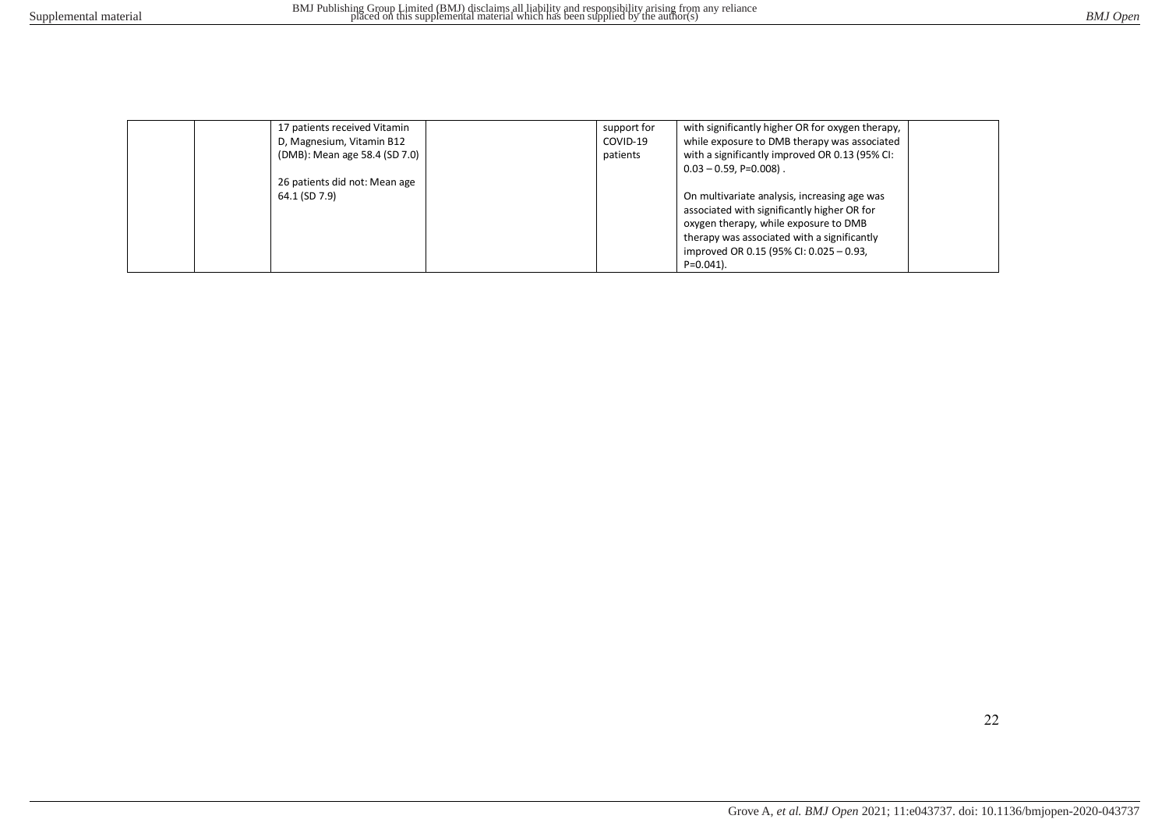| 17 patients received Vitamin  | support for | with significantly higher OR for oxygen therapy, |  |
|-------------------------------|-------------|--------------------------------------------------|--|
| D, Magnesium, Vitamin B12     | COVID-19    | while exposure to DMB therapy was associated     |  |
| (DMB): Mean age 58.4 (SD 7.0) | patients    | with a significantly improved OR 0.13 (95% CI:   |  |
|                               |             | $0.03 - 0.59$ , P=0.008).                        |  |
| 26 patients did not: Mean age |             |                                                  |  |
| 64.1 (SD 7.9)                 |             | On multivariate analysis, increasing age was     |  |
|                               |             | associated with significantly higher OR for      |  |
|                               |             | oxygen therapy, while exposure to DMB            |  |
|                               |             | therapy was associated with a significantly      |  |
|                               |             | improved OR 0.15 (95% CI: 0.025 - 0.93,          |  |
|                               |             | $P=0.041$ ).                                     |  |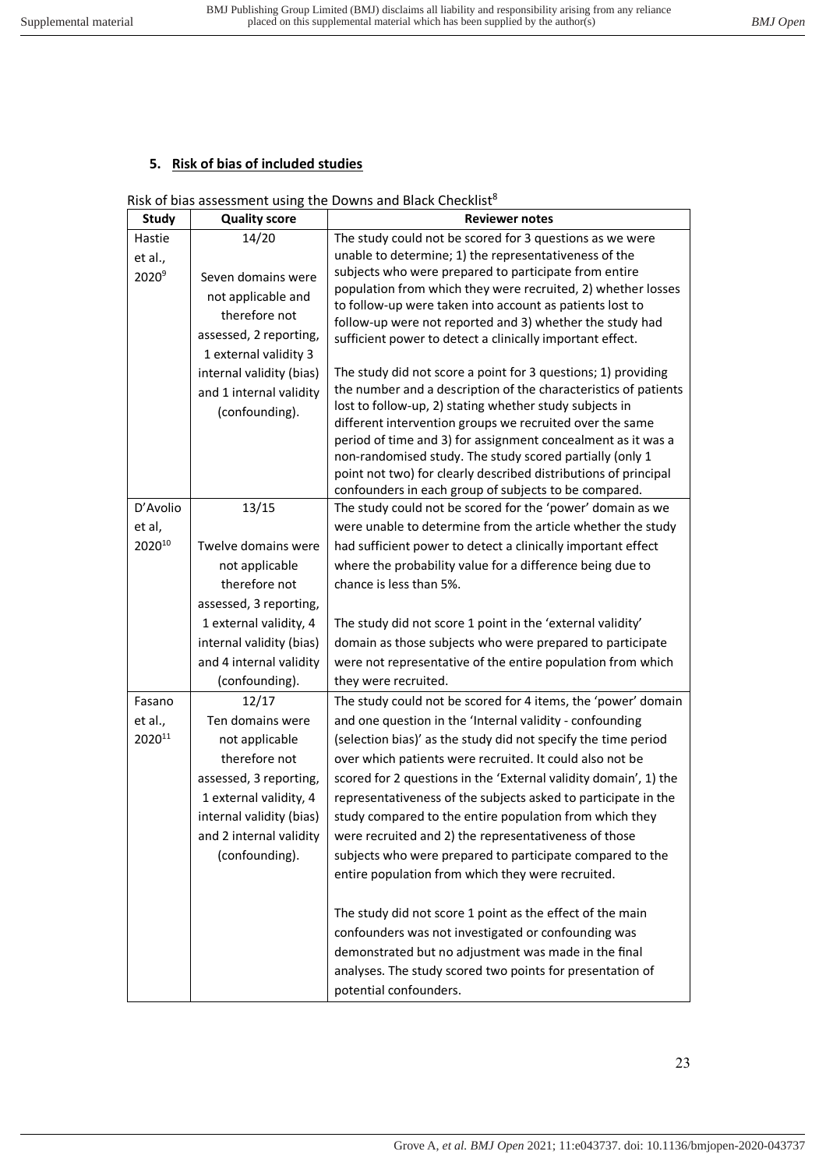# **5. Risk of bias of included studies**

## Risk of bias assessment using the Downs and Black Checklist<sup>8</sup>

| <b>Study</b>      | <b>Quality score</b>     | <b>Reviewer notes</b>                                                                                                 |
|-------------------|--------------------------|-----------------------------------------------------------------------------------------------------------------------|
| Hastie            | 14/20                    | The study could not be scored for 3 questions as we were                                                              |
| et al.,           |                          | unable to determine; 1) the representativeness of the                                                                 |
| 2020 <sup>9</sup> | Seven domains were       | subjects who were prepared to participate from entire                                                                 |
|                   | not applicable and       | population from which they were recruited, 2) whether losses                                                          |
|                   | therefore not            | to follow-up were taken into account as patients lost to                                                              |
|                   | assessed, 2 reporting,   | follow-up were not reported and 3) whether the study had<br>sufficient power to detect a clinically important effect. |
|                   | 1 external validity 3    |                                                                                                                       |
|                   | internal validity (bias) | The study did not score a point for 3 questions; 1) providing                                                         |
|                   | and 1 internal validity  | the number and a description of the characteristics of patients                                                       |
|                   | (confounding).           | lost to follow-up, 2) stating whether study subjects in                                                               |
|                   |                          | different intervention groups we recruited over the same                                                              |
|                   |                          | period of time and 3) for assignment concealment as it was a                                                          |
|                   |                          | non-randomised study. The study scored partially (only 1                                                              |
|                   |                          | point not two) for clearly described distributions of principal                                                       |
| D'Avolio          | 13/15                    | confounders in each group of subjects to be compared.<br>The study could not be scored for the 'power' domain as we   |
| et al,            |                          | were unable to determine from the article whether the study                                                           |
| 202010            | Twelve domains were      | had sufficient power to detect a clinically important effect                                                          |
|                   | not applicable           | where the probability value for a difference being due to                                                             |
|                   | therefore not            | chance is less than 5%.                                                                                               |
|                   | assessed, 3 reporting,   |                                                                                                                       |
|                   | 1 external validity, 4   | The study did not score 1 point in the 'external validity'                                                            |
|                   | internal validity (bias) | domain as those subjects who were prepared to participate                                                             |
|                   | and 4 internal validity  | were not representative of the entire population from which                                                           |
|                   | (confounding).           | they were recruited.                                                                                                  |
| Fasano            | 12/17                    | The study could not be scored for 4 items, the 'power' domain                                                         |
| et al.,           | Ten domains were         | and one question in the 'Internal validity - confounding                                                              |
| 202011            | not applicable           | (selection bias)' as the study did not specify the time period                                                        |
|                   | therefore not            | over which patients were recruited. It could also not be                                                              |
|                   | assessed, 3 reporting,   | scored for 2 questions in the 'External validity domain', 1) the                                                      |
|                   | 1 external validity, 4   | representativeness of the subjects asked to participate in the                                                        |
|                   | internal validity (bias) | study compared to the entire population from which they                                                               |
|                   | and 2 internal validity  | were recruited and 2) the representativeness of those                                                                 |
|                   | (confounding).           | subjects who were prepared to participate compared to the                                                             |
|                   |                          | entire population from which they were recruited.                                                                     |
|                   |                          |                                                                                                                       |
|                   |                          | The study did not score 1 point as the effect of the main                                                             |
|                   |                          | confounders was not investigated or confounding was                                                                   |
|                   |                          | demonstrated but no adjustment was made in the final                                                                  |
|                   |                          | analyses. The study scored two points for presentation of                                                             |
|                   |                          | potential confounders.                                                                                                |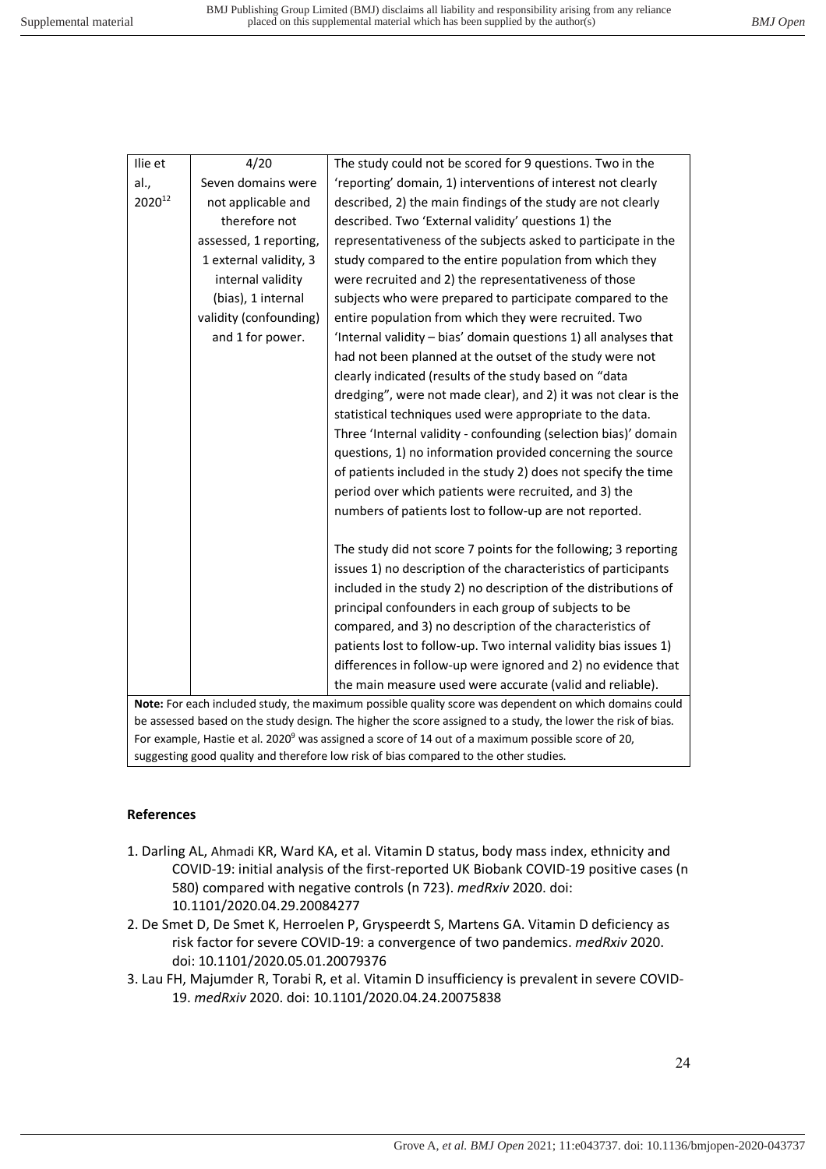| Ilie et | 4/20                                                                                                         | The study could not be scored for 9 questions. Two in the        |  |  |  |
|---------|--------------------------------------------------------------------------------------------------------------|------------------------------------------------------------------|--|--|--|
| al.,    | Seven domains were                                                                                           | 'reporting' domain, 1) interventions of interest not clearly     |  |  |  |
| 202012  | not applicable and                                                                                           | described, 2) the main findings of the study are not clearly     |  |  |  |
|         | therefore not                                                                                                | described. Two 'External validity' questions 1) the              |  |  |  |
|         | assessed, 1 reporting,                                                                                       | representativeness of the subjects asked to participate in the   |  |  |  |
|         | 1 external validity, 3                                                                                       | study compared to the entire population from which they          |  |  |  |
|         | internal validity                                                                                            | were recruited and 2) the representativeness of those            |  |  |  |
|         | (bias), 1 internal                                                                                           | subjects who were prepared to participate compared to the        |  |  |  |
|         | validity (confounding)                                                                                       | entire population from which they were recruited. Two            |  |  |  |
|         | and 1 for power.                                                                                             | 'Internal validity - bias' domain questions 1) all analyses that |  |  |  |
|         |                                                                                                              | had not been planned at the outset of the study were not         |  |  |  |
|         |                                                                                                              | clearly indicated (results of the study based on "data           |  |  |  |
|         |                                                                                                              | dredging", were not made clear), and 2) it was not clear is the  |  |  |  |
|         |                                                                                                              | statistical techniques used were appropriate to the data.        |  |  |  |
|         |                                                                                                              | Three 'Internal validity - confounding (selection bias)' domain  |  |  |  |
|         |                                                                                                              | questions, 1) no information provided concerning the source      |  |  |  |
|         |                                                                                                              | of patients included in the study 2) does not specify the time   |  |  |  |
|         |                                                                                                              | period over which patients were recruited, and 3) the            |  |  |  |
|         |                                                                                                              | numbers of patients lost to follow-up are not reported.          |  |  |  |
|         |                                                                                                              | The study did not score 7 points for the following; 3 reporting  |  |  |  |
|         |                                                                                                              | issues 1) no description of the characteristics of participants  |  |  |  |
|         |                                                                                                              | included in the study 2) no description of the distributions of  |  |  |  |
|         |                                                                                                              | principal confounders in each group of subjects to be            |  |  |  |
|         |                                                                                                              | compared, and 3) no description of the characteristics of        |  |  |  |
|         |                                                                                                              | patients lost to follow-up. Two internal validity bias issues 1) |  |  |  |
|         |                                                                                                              | differences in follow-up were ignored and 2) no evidence that    |  |  |  |
|         |                                                                                                              | the main measure used were accurate (valid and reliable).        |  |  |  |
|         | Note: For each included study, the maximum possible quality score was dependent on which domains could       |                                                                  |  |  |  |
|         | be assessed based on the study design. The higher the score assigned to a study, the lower the risk of bias. |                                                                  |  |  |  |

**References**

1. Darling AL, Ahmadi KR, Ward KA, et al. Vitamin D status, body mass index, ethnicity and COVID-19: initial analysis of the first-reported UK Biobank COVID-19 positive cases (n 580) compared with negative controls (n 723). *medRxiv* 2020. doi: 10.1101/2020.04.29.20084277

For example, Hastie et al. 2020<sup>9</sup> was assigned a score of 14 out of a maximum possible score of 20,

suggesting good quality and therefore low risk of bias compared to the other studies.

- 2. De Smet D, De Smet K, Herroelen P, Gryspeerdt S, Martens GA. Vitamin D deficiency as risk factor for severe COVID-19: a convergence of two pandemics. *medRxiv* 2020. doi: 10.1101/2020.05.01.20079376
- 3. Lau FH, Majumder R, Torabi R, et al. Vitamin D insufficiency is prevalent in severe COVID-19. *medRxiv* 2020. doi: 10.1101/2020.04.24.20075838